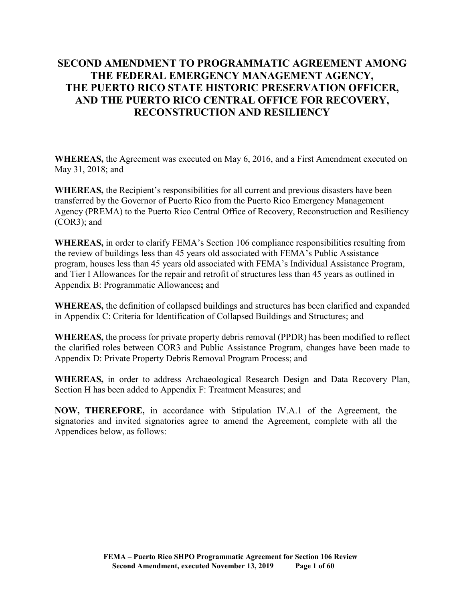# **SECOND AMENDMENT TO PROGRAMMATIC AGREEMENT AMONG THE FEDERAL EMERGENCY MANAGEMENT AGENCY, THE PUERTO RICO STATE HISTORIC PRESERVATION OFFICER, AND THE PUERTO RICO CENTRAL OFFICE FOR RECOVERY, RECONSTRUCTION AND RESILIENCY**

**WHEREAS,** the Agreement was executed on May 6, 2016, and a First Amendment executed on May 31, 2018; and

**WHEREAS,** the Recipient's responsibilities for all current and previous disasters have been transferred by the Governor of Puerto Rico from the Puerto Rico Emergency Management Agency (PREMA) to the Puerto Rico Central Office of Recovery, Reconstruction and Resiliency (COR3); and

**WHEREAS,** in order to clarify FEMA's Section 106 compliance responsibilities resulting from the review of buildings less than 45 years old associated with FEMA's Public Assistance program, houses less than 45 years old associated with FEMA's Individual Assistance Program, and Tier I Allowances for the repair and retrofit of structures less than 45 years as outlined in Appendix B: Programmatic Allowances**;** and

**WHEREAS,** the definition of collapsed buildings and structures has been clarified and expanded in Appendix C: Criteria for Identification of Collapsed Buildings and Structures; and

**WHEREAS,** the process for private property debris removal (PPDR) has been modified to reflect the clarified roles between COR3 and Public Assistance Program, changes have been made to Appendix D: Private Property Debris Removal Program Process; and

**WHEREAS,** in order to address Archaeological Research Design and Data Recovery Plan, Section H has been added to Appendix F: Treatment Measures; and

**NOW, THEREFORE,** in accordance with Stipulation IV.A.1 of the Agreement, the signatories and invited signatories agree to amend the Agreement, complete with all the Appendices below, as follows: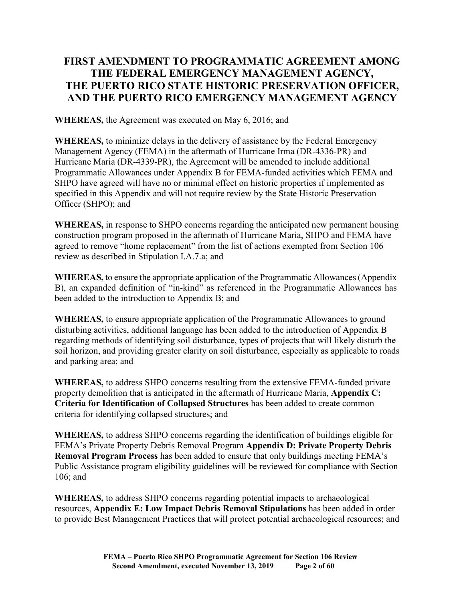# **FIRST AMENDMENT TO PROGRAMMATIC AGREEMENT AMONG THE FEDERAL EMERGENCY MANAGEMENT AGENCY, THE PUERTO RICO STATE HISTORIC PRESERVATION OFFICER, AND THE PUERTO RICO EMERGENCY MANAGEMENT AGENCY**

**WHEREAS,** the Agreement was executed on May 6, 2016; and

**WHEREAS,** to minimize delays in the delivery of assistance by the Federal Emergency Management Agency (FEMA) in the aftermath of Hurricane Irma (DR-4336-PR) and Hurricane Maria (DR-4339-PR), the Agreement will be amended to include additional Programmatic Allowances under Appendix B for FEMA-funded activities which FEMA and SHPO have agreed will have no or minimal effect on historic properties if implemented as specified in this Appendix and will not require review by the State Historic Preservation Officer (SHPO); and

**WHEREAS,** in response to SHPO concerns regarding the anticipated new permanent housing construction program proposed in the aftermath of Hurricane Maria, SHPO and FEMA have agreed to remove "home replacement" from the list of actions exempted from Section 106 review as described in Stipulation I.A.7.a; and

**WHEREAS,** to ensure the appropriate application of the Programmatic Allowances (Appendix B), an expanded definition of "in-kind" as referenced in the Programmatic Allowances has been added to the introduction to Appendix B; and

**WHEREAS,** to ensure appropriate application of the Programmatic Allowances to ground disturbing activities, additional language has been added to the introduction of Appendix B regarding methods of identifying soil disturbance, types of projects that will likely disturb the soil horizon, and providing greater clarity on soil disturbance, especially as applicable to roads and parking area; and

**WHEREAS,** to address SHPO concerns resulting from the extensive FEMA-funded private property demolition that is anticipated in the aftermath of Hurricane Maria, **Appendix C: Criteria for Identification of Collapsed Structures** has been added to create common criteria for identifying collapsed structures; and

**WHEREAS,** to address SHPO concerns regarding the identification of buildings eligible for FEMA's Private Property Debris Removal Program **Appendix D: Private Property Debris Removal Program Process** has been added to ensure that only buildings meeting FEMA's Public Assistance program eligibility guidelines will be reviewed for compliance with Section 106; and

**WHEREAS,** to address SHPO concerns regarding potential impacts to archaeological resources, **Appendix E: Low Impact Debris Removal Stipulations** has been added in order to provide Best Management Practices that will protect potential archaeological resources; and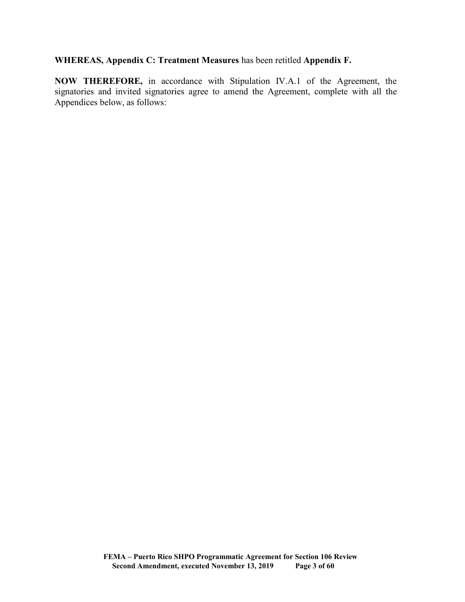## **WHEREAS, Appendix C: Treatment Measures** has been retitled **Appendix F.**

**NOW THEREFORE,** in accordance with Stipulation IV.A.1 of the Agreement, the signatories and invited signatories agree to amend the Agreement, complete with all the Appendices below, as follows: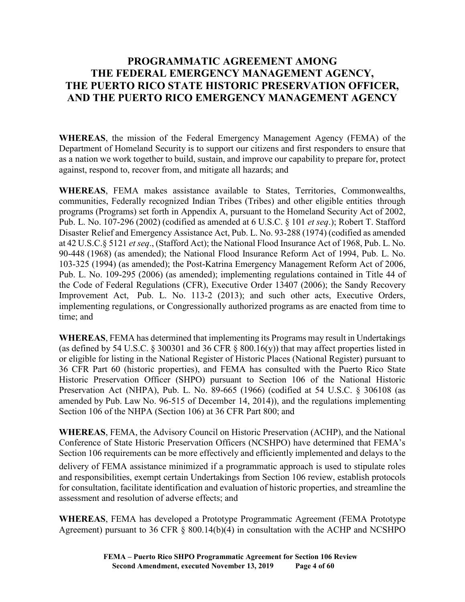# **PROGRAMMATIC AGREEMENT AMONG THE FEDERAL EMERGENCY MANAGEMENT AGENCY, THE PUERTO RICO STATE HISTORIC PRESERVATION OFFICER, AND THE PUERTO RICO EMERGENCY MANAGEMENT AGENCY**

**WHEREAS**, the mission of the Federal Emergency Management Agency (FEMA) of the Department of Homeland Security is to support our citizens and first responders to ensure that as a nation we work together to build, sustain, and improve our capability to prepare for, protect against, respond to, recover from, and mitigate all hazards; and

**WHEREAS**, FEMA makes assistance available to States, Territories, Commonwealths, communities, Federally recognized Indian Tribes (Tribes) and other eligible entities through programs (Programs) set forth in Appendix A, pursuant to the Homeland Security Act of 2002, Pub. L. No. 107-296 (2002) (codified as amended at 6 U.S.C. § 101 *et seq*.); Robert T. Stafford Disaster Relief and Emergency Assistance Act, Pub. L. No. 93-288 (1974) (codified as amended at 42 U.S.C.§ 5121 *et seq*., (Stafford Act); the National Flood Insurance Act of 1968, Pub. L. No. 90-448 (1968) (as amended); the National Flood Insurance Reform Act of 1994, Pub. L. No. 103-325 (1994) (as amended); the Post-Katrina Emergency Management Reform Act of 2006, Pub. L. No. 109-295 (2006) (as amended); implementing regulations contained in Title 44 of the Code of Federal Regulations (CFR), Executive Order 13407 (2006); the Sandy Recovery Improvement Act, Pub. L. No. 113-2 (2013); and such other acts, Executive Orders, implementing regulations, or Congressionally authorized programs as are enacted from time to time; and

**WHEREAS**, FEMA has determined that implementing its Programs may result in Undertakings (as defined by 54 U.S.C.  $\S$  300301 and 36 CFR  $\S$  800.16(y)) that may affect properties listed in or eligible for listing in the National Register of Historic Places (National Register) pursuant to 36 CFR Part 60 (historic properties), and FEMA has consulted with the Puerto Rico State Historic Preservation Officer (SHPO) pursuant to Section 106 of the National Historic Preservation Act (NHPA), Pub. L. No. 89-665 (1966) (codified at 54 U.S.C. § 306108 (as amended by Pub. Law No. 96-515 of December 14, 2014)), and the regulations implementing Section 106 of the NHPA (Section 106) at 36 CFR Part 800; and

**WHEREAS**, FEMA, the Advisory Council on Historic Preservation (ACHP), and the National Conference of State Historic Preservation Officers (NCSHPO) have determined that FEMA's Section 106 requirements can be more effectively and efficiently implemented and delays to the

delivery of FEMA assistance minimized if a programmatic approach is used to stipulate roles and responsibilities, exempt certain Undertakings from Section 106 review, establish protocols for consultation, facilitate identification and evaluation of historic properties, and streamline the assessment and resolution of adverse effects; and

**WHEREAS**, FEMA has developed a Prototype Programmatic Agreement (FEMA Prototype Agreement) pursuant to 36 CFR § 800.14(b)(4) in consultation with the ACHP and NCSHPO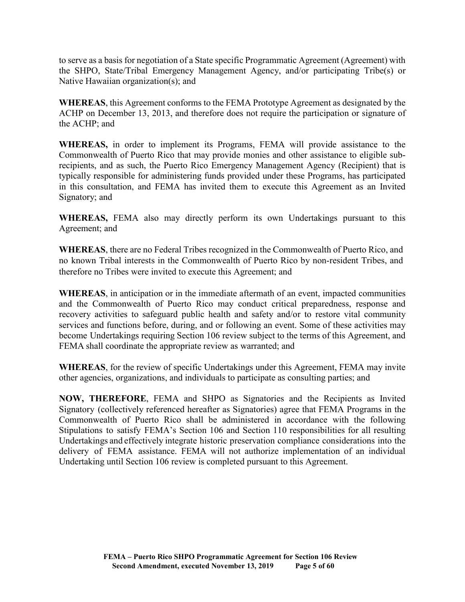to serve as a basis for negotiation of a State specific Programmatic Agreement (Agreement) with the SHPO, State/Tribal Emergency Management Agency, and/or participating Tribe(s) or Native Hawaiian organization(s); and

**WHEREAS**, this Agreement conforms to the FEMA Prototype Agreement as designated by the ACHP on December 13, 2013, and therefore does not require the participation or signature of the ACHP; and

**WHEREAS,** in order to implement its Programs, FEMA will provide assistance to the Commonwealth of Puerto Rico that may provide monies and other assistance to eligible subrecipients, and as such, the Puerto Rico Emergency Management Agency (Recipient) that is typically responsible for administering funds provided under these Programs, has participated in this consultation, and FEMA has invited them to execute this Agreement as an Invited Signatory; and

**WHEREAS,** FEMA also may directly perform its own Undertakings pursuant to this Agreement; and

**WHEREAS**, there are no Federal Tribes recognized in the Commonwealth of Puerto Rico, and no known Tribal interests in the Commonwealth of Puerto Rico by non-resident Tribes, and therefore no Tribes were invited to execute this Agreement; and

**WHEREAS**, in anticipation or in the immediate aftermath of an event, impacted communities and the Commonwealth of Puerto Rico may conduct critical preparedness, response and recovery activities to safeguard public health and safety and/or to restore vital community services and functions before, during, and or following an event. Some of these activities may become Undertakings requiring Section 106 review subject to the terms of this Agreement, and FEMA shall coordinate the appropriate review as warranted; and

**WHEREAS**, for the review of specific Undertakings under this Agreement, FEMA may invite other agencies, organizations, and individuals to participate as consulting parties; and

**NOW, THEREFORE**, FEMA and SHPO as Signatories and the Recipients as Invited Signatory (collectively referenced hereafter as Signatories) agree that FEMA Programs in the Commonwealth of Puerto Rico shall be administered in accordance with the following Stipulations to satisfy FEMA's Section 106 and Section 110 responsibilities for all resulting Undertakings and effectively integrate historic preservation compliance considerations into the delivery of FEMA assistance. FEMA will not authorize implementation of an individual Undertaking until Section 106 review is completed pursuant to this Agreement.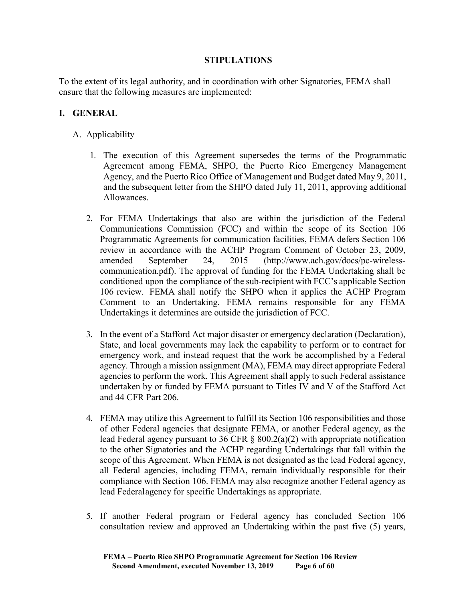## **STIPULATIONS**

To the extent of its legal authority, and in coordination with other Signatories, FEMA shall ensure that the following measures are implemented:

## **I. GENERAL**

- A. Applicability
	- 1. The execution of this Agreement supersedes the terms of the Programmatic Agreement among FEMA, SHPO, the Puerto Rico Emergency Management Agency, and the Puerto Rico Office of Management and Budget dated May 9, 2011, and the subsequent letter from the SHPO dated July 11, 2011, approving additional Allowances.
	- 2. For FEMA Undertakings that also are within the jurisdiction of the Federal Communications Commission (FCC) and within the scope of its Section 106 Programmatic Agreements for communication facilities, FEMA defers Section 106 review in accordance with the ACHP Program Comment of October 23, 2009, amended September 24, 2015 [\(http://www.ach.gov/docs/pc-wireless](http://www.ach.gov/docs/pc-wireless-communication.pdf))[communication.pdf\).](http://www.ach.gov/docs/pc-wireless-communication.pdf)) The approval of funding for the FEMA Undertaking shall be conditioned upon the compliance of the sub-recipient with FCC's applicable Section 106 review. FEMA shall notify the SHPO when it applies the ACHP Program Comment to an Undertaking. FEMA remains responsible for any FEMA Undertakings it determines are outside the jurisdiction of FCC.
	- 3. In the event of a Stafford Act major disaster or emergency declaration (Declaration), State, and local governments may lack the capability to perform or to contract for emergency work, and instead request that the work be accomplished by a Federal agency. Through a mission assignment (MA), FEMA may direct appropriate Federal agencies to perform the work. This Agreement shall apply to such Federal assistance undertaken by or funded by FEMA pursuant to Titles IV and V of the Stafford Act and 44 CFR Part 206.
	- 4. FEMA may utilize this Agreement to fulfill its Section 106 responsibilities and those of other Federal agencies that designate FEMA, or another Federal agency, as the lead Federal agency pursuant to 36 CFR § 800.2(a)(2) with appropriate notification to the other Signatories and the ACHP regarding Undertakings that fall within the scope of this Agreement. When FEMA is not designated as the lead Federal agency, all Federal agencies, including FEMA, remain individually responsible for their compliance with Section 106. FEMA may also recognize another Federal agency as lead Federalagency for specific Undertakings as appropriate.
	- 5. If another Federal program or Federal agency has concluded Section 106 consultation review and approved an Undertaking within the past five (5) years,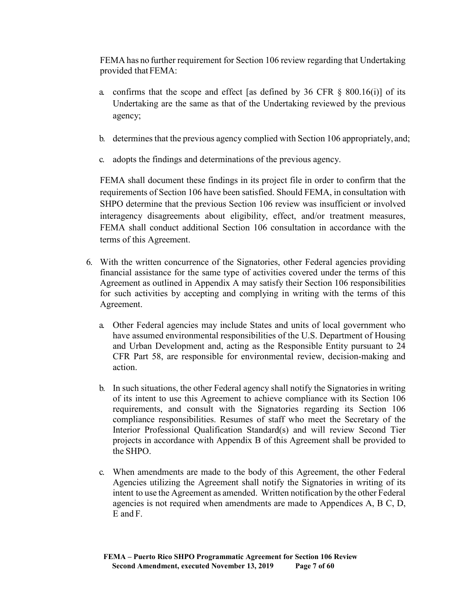FEMA has no further requirement for Section 106 review regarding that Undertaking provided that FEMA:

- a. confirms that the scope and effect [as defined by 36 CFR  $\S$  800.16(i)] of its Undertaking are the same as that of the Undertaking reviewed by the previous agency;
- b. determines that the previous agency complied with Section 106 appropriately, and;
- c. adopts the findings and determinations of the previous agency.

FEMA shall document these findings in its project file in order to confirm that the requirements of Section 106 have been satisfied. Should FEMA, in consultation with SHPO determine that the previous Section 106 review was insufficient or involved interagency disagreements about eligibility, effect, and/or treatment measures, FEMA shall conduct additional Section 106 consultation in accordance with the terms of this Agreement.

- 6. With the written concurrence of the Signatories, other Federal agencies providing financial assistance for the same type of activities covered under the terms of this Agreement as outlined in Appendix A may satisfy their Section 106 responsibilities for such activities by accepting and complying in writing with the terms of this Agreement.
	- a. Other Federal agencies may include States and units of local government who have assumed environmental responsibilities of the U.S. Department of Housing and Urban Development and, acting as the Responsible Entity pursuant to 24 CFR Part 58, are responsible for environmental review, decision-making and action.
	- b. In such situations, the other Federal agency shall notify the Signatories in writing of its intent to use this Agreement to achieve compliance with its Section 106 requirements, and consult with the Signatories regarding its Section 106 compliance responsibilities. Resumes of staff who meet the Secretary of the Interior Professional Qualification Standard(s) and will review Second Tier projects in accordance with Appendix B of this Agreement shall be provided to the SHPO.
	- c. When amendments are made to the body of this Agreement, the other Federal Agencies utilizing the Agreement shall notify the Signatories in writing of its intent to use the Agreement as amended. Written notification by the other Federal agencies is not required when amendments are made to Appendices A, B C, D, E and F.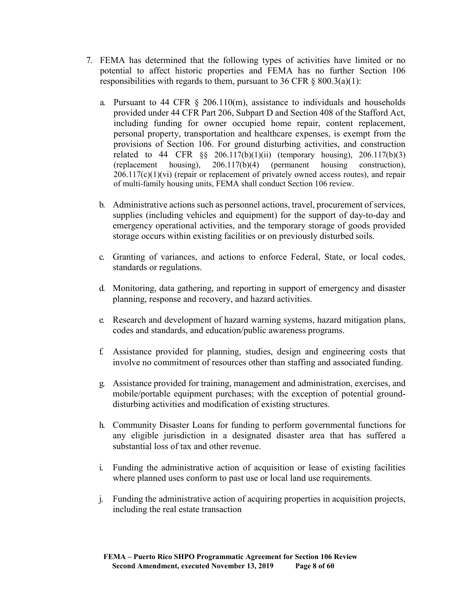- 7. FEMA has determined that the following types of activities have limited or no potential to affect historic properties and FEMA has no further Section 106 responsibilities with regards to them, pursuant to 36 CFR  $\S$  800.3(a)(1):
	- a. Pursuant to 44 CFR  $\S$  206.110(m), assistance to individuals and households provided under 44 CFR Part 206, Subpart D and Section 408 of the Stafford Act, including funding for owner occupied home repair, content replacement, personal property, transportation and healthcare expenses, is exempt from the provisions of Section 106. For ground disturbing activities, and construction related to 44 CFR  $\S$ § 206.117(b)(1)(ii) (temporary housing), 206.117(b)(3) (replacement housing), 206.117(b)(4) (permanent housing construction),  $206.117(c)(1)(vi)$  (repair or replacement of privately owned access routes), and repair of multi-family housing units, FEMA shall conduct Section 106 review.
	- b. Administrative actions such as personnel actions, travel, procurement of services, supplies (including vehicles and equipment) for the support of day-to-day and emergency operational activities, and the temporary storage of goods provided storage occurs within existing facilities or on previously disturbed soils.
	- c. Granting of variances, and actions to enforce Federal, State, or local codes, standards or regulations.
	- d. Monitoring, data gathering, and reporting in support of emergency and disaster planning, response and recovery, and hazard activities.
	- e. Research and development of hazard warning systems, hazard mitigation plans, codes and standards, and education/public awareness programs.
	- f. Assistance provided for planning, studies, design and engineering costs that involve no commitment of resources other than staffing and associated funding.
	- g. Assistance provided for training, management and administration, exercises, and mobile/portable equipment purchases; with the exception of potential grounddisturbing activities and modification of existing structures.
	- h. Community Disaster Loans for funding to perform governmental functions for any eligible jurisdiction in a designated disaster area that has suffered a substantial loss of tax and other revenue.
	- i. Funding the administrative action of acquisition or lease of existing facilities where planned uses conform to past use or local land use requirements.
	- j. Funding the administrative action of acquiring properties in acquisition projects, including the real estate transaction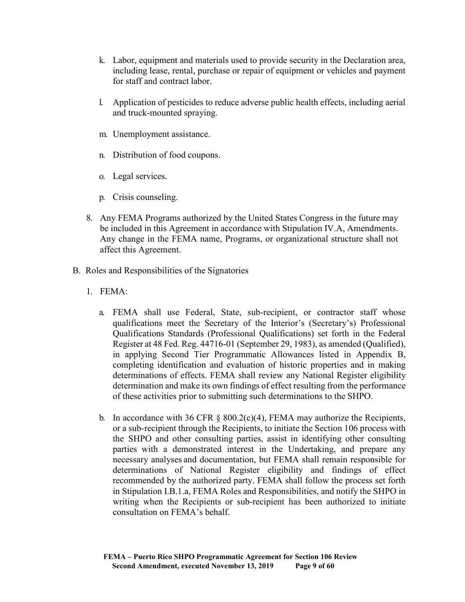- k. Labor, equipment and materials used to provide security in the Declaration area, including lease, rental, purchase or repair of equipment or vehicles and payment for staff and contract labor.
- l. Application of pesticides to reduce adverse public health effects, including aerial and truck-mounted spraying.
- m. Unemployment assistance.
- n. Distribution of food coupons.
- o. Legal services.
- p. Crisis counseling.
- 8. Any FEMA Programs authorized by the United States Congress in the future may be included in this Agreement in accordance with Stipulation IV.A, Amendments. Any change in the FEMA name, Programs, or organizational structure shall not affect this Agreement.
- B. Roles and Responsibilities of the Signatories
	- 1. FEMA:
		- a. FEMA shall use Federal, State, sub-recipient, or contractor staff whose qualifications meet the Secretary of the Interior's (Secretary's) Professional Qualifications Standards (Professional Qualifications) set forth in the Federal Register at 48 Fed. Reg. 44716-01 (September 29, 1983), as amended (Qualified), in applying Second Tier Programmatic Allowances listed in Appendix B, completing identification and evaluation of historic properties and in making determinations of effects. FEMA shall review any National Register eligibility determination and make its own findings of effect resulting from the performance of these activities prior to submitting such determinations to the SHPO.
		- b. In accordance with 36 CFR  $\S$  800.2(c)(4), FEMA may authorize the Recipients, or a sub-recipient through the Recipients, to initiate the Section 106 process with the SHPO and other consulting parties, assist in identifying other consulting parties with a demonstrated interest in the Undertaking, and prepare any necessary analyses and documentation, but FEMA shall remain responsible for determinations of National Register eligibility and findings of effect recommended by the authorized party. FEMA shall follow the process set forth in Stipulation I.B.1.a, FEMA Roles and Responsibilities, and notify the SHPO in writing when the Recipients or sub-recipient has been authorized to initiate consultation on FEMA's behalf.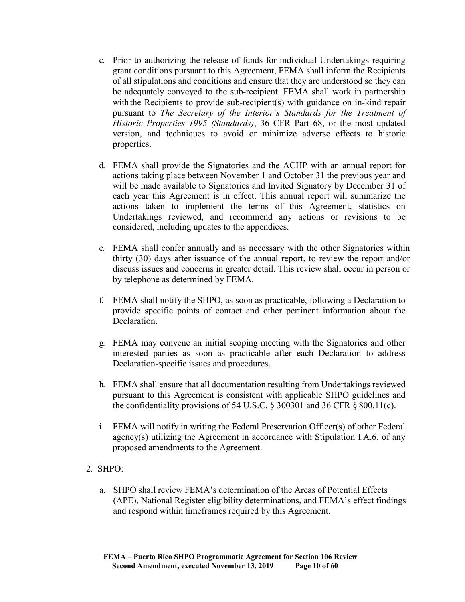- c. Prior to authorizing the release of funds for individual Undertakings requiring grant conditions pursuant to this Agreement, FEMA shall inform the Recipients of all stipulations and conditions and ensure that they are understood so they can be adequately conveyed to the sub-recipient. FEMA shall work in partnership with the Recipients to provide sub-recipient(s) with guidance on in-kind repair pursuant to *The Secretary of the Interior's Standards for the Treatment of Historic Properties 1995 (Standards)*, 36 CFR Part 68, or the most updated version, and techniques to avoid or minimize adverse effects to historic properties.
- d. FEMA shall provide the Signatories and the ACHP with an annual report for actions taking place between November 1 and October 31 the previous year and will be made available to Signatories and Invited Signatory by December 31 of each year this Agreement is in effect. This annual report will summarize the actions taken to implement the terms of this Agreement, statistics on Undertakings reviewed, and recommend any actions or revisions to be considered, including updates to the appendices.
- e. FEMA shall confer annually and as necessary with the other Signatories within thirty (30) days after issuance of the annual report, to review the report and/or discuss issues and concerns in greater detail. This review shall occur in person or by telephone as determined by FEMA.
- f. FEMA shall notify the SHPO, as soon as practicable, following a Declaration to provide specific points of contact and other pertinent information about the Declaration.
- g. FEMA may convene an initial scoping meeting with the Signatories and other interested parties as soon as practicable after each Declaration to address Declaration-specific issues and procedures.
- h. FEMA shall ensure that all documentation resulting from Undertakings reviewed pursuant to this Agreement is consistent with applicable SHPO guidelines and the confidentiality provisions of 54 U.S.C.  $\S$  300301 and 36 CFR  $\S$  800.11(c).
- i. FEMA will notify in writing the Federal Preservation Officer(s) of other Federal agency(s) utilizing the Agreement in accordance with Stipulation I.A.6. of any proposed amendments to the Agreement.

#### 2. SHPO:

a. SHPO shall review FEMA's determination of the Areas of Potential Effects (APE), National Register eligibility determinations, and FEMA's effect findings and respond within timeframes required by this Agreement.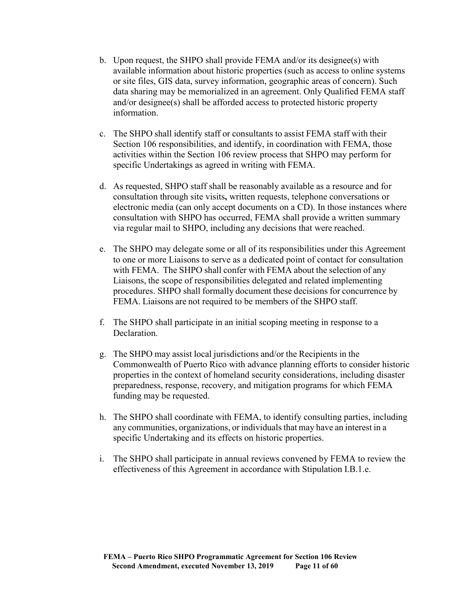- b. Upon request, the SHPO shall provide FEMA and/or its designee(s) with available information about historic properties (such as access to online systems or site files, GIS data, survey information, geographic areas of concern). Such data sharing may be memorialized in an agreement. Only Qualified FEMA staff and/or designee(s) shall be afforded access to protected historic property information.
- c. The SHPO shall identify staff or consultants to assist FEMA staff with their Section 106 responsibilities, and identify, in coordination with FEMA, those activities within the Section 106 review process that SHPO may perform for specific Undertakings as agreed in writing with FEMA.
- d. As requested, SHPO staff shall be reasonably available as a resource and for consultation through site visits**,** written requests, telephone conversations or electronic media (can only accept documents on a CD). In those instances where consultation with SHPO has occurred, FEMA shall provide a written summary via regular mail to SHPO, including any decisions that were reached.
- e. The SHPO may delegate some or all of its responsibilities under this Agreement to one or more Liaisons to serve as a dedicated point of contact for consultation with FEMA. The SHPO shall confer with FEMA about the selection of any Liaisons, the scope of responsibilities delegated and related implementing procedures. SHPO shall formally document these decisions for concurrence by FEMA. Liaisons are not required to be members of the SHPO staff.
- f. The SHPO shall participate in an initial scoping meeting in response to a Declaration.
- g. The SHPO may assist local jurisdictions and/or the Recipients in the Commonwealth of Puerto Rico with advance planning efforts to consider historic properties in the context of homeland security considerations, including disaster preparedness, response, recovery, and mitigation programs for which FEMA funding may be requested.
- h. The SHPO shall coordinate with FEMA, to identify consulting parties, including any communities, organizations, or individualsthat may have an interest in a specific Undertaking and its effects on historic properties.
- i. The SHPO shall participate in annual reviews convened by FEMA to review the effectiveness of this Agreement in accordance with Stipulation I.B.1.e.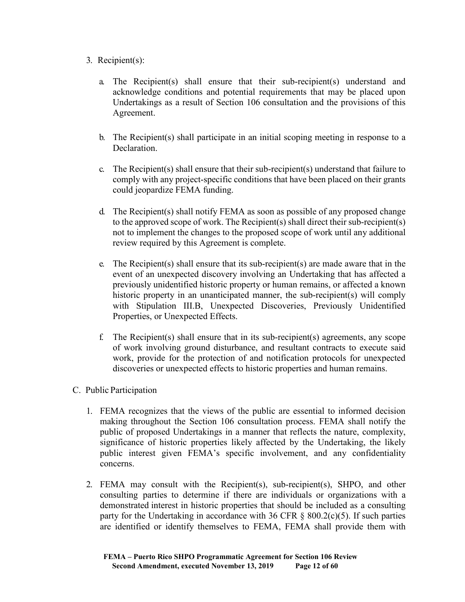## 3. Recipient(s):

- a. The Recipient(s) shall ensure that their sub-recipient(s) understand and acknowledge conditions and potential requirements that may be placed upon Undertakings as a result of Section 106 consultation and the provisions of this Agreement.
- b. The Recipient(s) shall participate in an initial scoping meeting in response to a Declaration.
- c. The Recipient(s) shall ensure that their sub-recipient(s) understand that failure to comply with any project-specific conditions that have been placed on their grants could jeopardize FEMA funding.
- d. The Recipient(s) shall notify FEMA as soon as possible of any proposed change to the approved scope of work. The Recipient(s) shall direct their sub-recipient(s) not to implement the changes to the proposed scope of work until any additional review required by this Agreement is complete.
- e. The Recipient(s) shall ensure that its sub-recipient(s) are made aware that in the event of an unexpected discovery involving an Undertaking that has affected a previously unidentified historic property or human remains, or affected a known historic property in an unanticipated manner, the sub-recipient(s) will comply with Stipulation III.B, Unexpected Discoveries, Previously Unidentified Properties, or Unexpected Effects.
- f. The Recipient(s) shall ensure that in its sub-recipient(s) agreements, any scope of work involving ground disturbance, and resultant contracts to execute said work, provide for the protection of and notification protocols for unexpected discoveries or unexpected effects to historic properties and human remains.

# C. Public Participation

- 1. FEMA recognizes that the views of the public are essential to informed decision making throughout the Section 106 consultation process. FEMA shall notify the public of proposed Undertakings in a manner that reflects the nature, complexity, significance of historic properties likely affected by the Undertaking, the likely public interest given FEMA's specific involvement, and any confidentiality concerns.
- 2. FEMA may consult with the Recipient(s), sub-recipient(s), SHPO, and other consulting parties to determine if there are individuals or organizations with a demonstrated interest in historic properties that should be included as a consulting party for the Undertaking in accordance with 36 CFR  $\S$  800.2(c)(5). If such parties are identified or identify themselves to FEMA, FEMA shall provide them with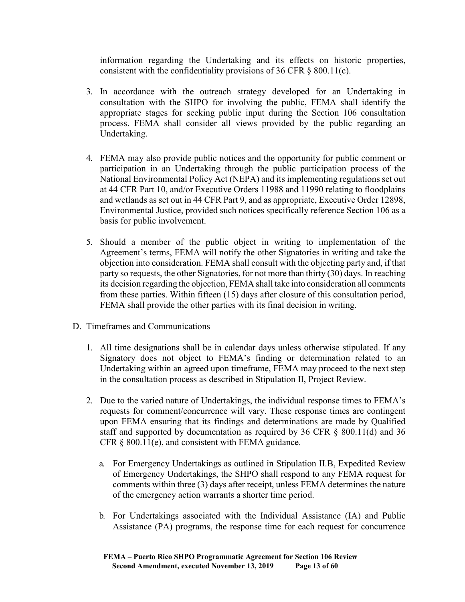information regarding the Undertaking and its effects on historic properties, consistent with the confidentiality provisions of 36 CFR § 800.11(c).

- 3. In accordance with the outreach strategy developed for an Undertaking in consultation with the SHPO for involving the public, FEMA shall identify the appropriate stages for seeking public input during the Section 106 consultation process. FEMA shall consider all views provided by the public regarding an Undertaking.
- 4. FEMA may also provide public notices and the opportunity for public comment or participation in an Undertaking through the public participation process of the National Environmental Policy Act (NEPA) and its implementing regulations set out at 44 CFR Part 10, and/or Executive Orders 11988 and 11990 relating to floodplains and wetlands as set out in 44 CFR Part 9, and as appropriate, Executive Order 12898, Environmental Justice, provided such notices specifically reference Section 106 as a basis for public involvement.
- 5. Should a member of the public object in writing to implementation of the Agreement's terms, FEMA will notify the other Signatories in writing and take the objection into consideration. FEMA shall consult with the objecting party and, if that party so requests, the other Signatories, for not more than thirty (30) days. In reaching its decision regarding the objection, FEMA shall take into consideration all comments from these parties. Within fifteen (15) days after closure of this consultation period, FEMA shall provide the other parties with its final decision in writing.
- D. Timeframes and Communications
	- 1. All time designations shall be in calendar days unless otherwise stipulated. If any Signatory does not object to FEMA's finding or determination related to an Undertaking within an agreed upon timeframe, FEMA may proceed to the next step in the consultation process as described in Stipulation II, Project Review.
	- 2. Due to the varied nature of Undertakings, the individual response times to FEMA's requests for comment/concurrence will vary. These response times are contingent upon FEMA ensuring that its findings and determinations are made by Qualified staff and supported by documentation as required by 36 CFR § 800.11(d) and 36 CFR § 800.11(e), and consistent with FEMA guidance.
		- a. For Emergency Undertakings as outlined in Stipulation II.B, Expedited Review of Emergency Undertakings, the SHPO shall respond to any FEMA request for comments within three (3) days after receipt, unless FEMA determines the nature of the emergency action warrants a shorter time period.
		- b. For Undertakings associated with the Individual Assistance (IA) and Public Assistance (PA) programs, the response time for each request for concurrence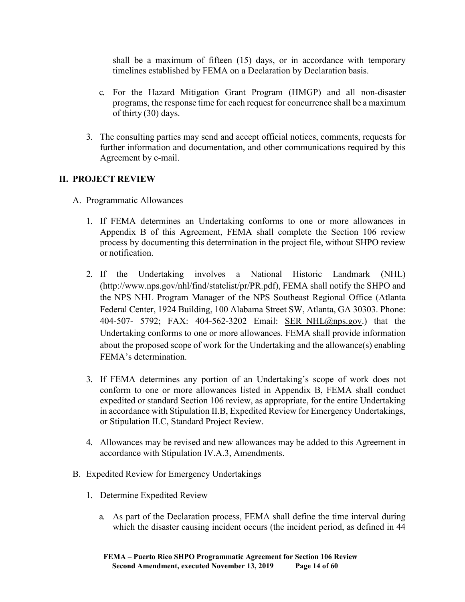shall be a maximum of fifteen (15) days, or in accordance with temporary timelines established by FEMA on a Declaration by Declaration basis.

- c. For the Hazard Mitigation Grant Program (HMGP) and all non-disaster programs, the response time for each request for concurrence shall be a maximum of thirty (30) days.
- 3. The consulting parties may send and accept official notices, comments, requests for further information and documentation, and other communications required by this Agreement by e-mail.

# **II. PROJECT REVIEW**

- A. Programmatic Allowances
	- 1. If FEMA determines an Undertaking conforms to one or more allowances in Appendix B of this Agreement, FEMA shall complete the Section 106 review process by documenting this determination in the project file, without SHPO review or notification.
	- 2. If the Undertaking involves a National Historic Landmark (NHL) [\(http://www.nps.gov/nhl/find/statelist/pr/PR.pdf\),](http://www.nps.gov/nhl/find/statelist/pr/PR.pdf)) FEMA shall notify the SHPO and the NPS NHL Program Manager of the NPS Southeast Regional Office (Atlanta Federal Center, 1924 Building, 100 Alabama Street SW, Atlanta, GA 30303. Phone: 404-507- 5792; FAX: 404-562-3202 Email: [SER\\_NHL@nps.gov.](mailto:SER_NHL@nps.gov)) that the Undertaking conforms to one or more allowances. FEMA shall provide information about the proposed scope of work for the Undertaking and the allowance(s) enabling FEMA's determination.
	- 3. If FEMA determines any portion of an Undertaking's scope of work does not conform to one or more allowances listed in Appendix B, FEMA shall conduct expedited or standard Section 106 review, as appropriate, for the entire Undertaking in accordance with Stipulation II.B, Expedited Review for Emergency Undertakings, or Stipulation II.C, Standard Project Review.
	- 4. Allowances may be revised and new allowances may be added to this Agreement in accordance with Stipulation IV.A.3, Amendments.
- B. Expedited Review for Emergency Undertakings
	- 1. Determine Expedited Review
		- a. As part of the Declaration process, FEMA shall define the time interval during which the disaster causing incident occurs (the incident period, as defined in 44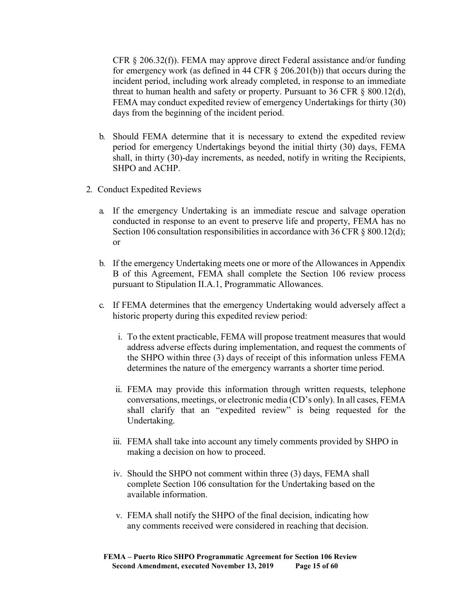CFR § 206.32(f)). FEMA may approve direct Federal assistance and/or funding for emergency work (as defined in 44 CFR  $\S$  206.201(b)) that occurs during the incident period, including work already completed, in response to an immediate threat to human health and safety or property. Pursuant to 36 CFR  $\S$  800.12(d), FEMA may conduct expedited review of emergency Undertakings for thirty (30) days from the beginning of the incident period.

- b. Should FEMA determine that it is necessary to extend the expedited review period for emergency Undertakings beyond the initial thirty (30) days, FEMA shall, in thirty (30)-day increments, as needed, notify in writing the Recipients, SHPO and ACHP.
- 2. Conduct Expedited Reviews
	- a. If the emergency Undertaking is an immediate rescue and salvage operation conducted in response to an event to preserve life and property, FEMA has no Section 106 consultation responsibilities in accordance with 36 CFR § 800.12(d); or
	- b. If the emergency Undertaking meets one or more of the Allowances in Appendix B of this Agreement, FEMA shall complete the Section 106 review process pursuant to Stipulation II.A.1, Programmatic Allowances.
	- c. If FEMA determines that the emergency Undertaking would adversely affect a historic property during this expedited review period:
		- i. To the extent practicable, FEMA will propose treatment measures that would address adverse effects during implementation, and request the comments of the SHPO within three (3) days of receipt of this information unless FEMA determines the nature of the emergency warrants a shorter time period.
		- ii. FEMA may provide this information through written requests, telephone conversations, meetings, or electronic media (CD's only). In all cases, FEMA shall clarify that an "expedited review" is being requested for the Undertaking.
		- iii. FEMA shall take into account any timely comments provided by SHPO in making a decision on how to proceed.
		- iv. Should the SHPO not comment within three (3) days, FEMA shall complete Section 106 consultation for the Undertaking based on the available information.
		- v. FEMA shall notify the SHPO of the final decision, indicating how any comments received were considered in reaching that decision.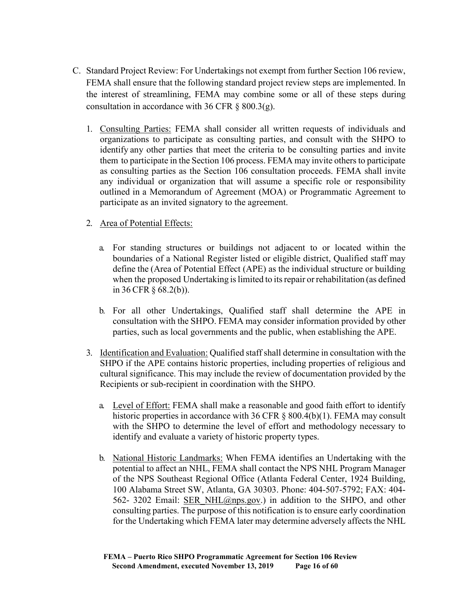- C. Standard Project Review: For Undertakings not exempt from further Section 106 review, FEMA shall ensure that the following standard project review steps are implemented. In the interest of streamlining, FEMA may combine some or all of these steps during consultation in accordance with 36 CFR  $\S$  800.3(g).
	- 1. Consulting Parties: FEMA shall consider all written requests of individuals and organizations to participate as consulting parties, and consult with the SHPO to identify any other parties that meet the criteria to be consulting parties and invite them to participate in the Section 106 process. FEMA may invite others to participate as consulting parties as the Section 106 consultation proceeds. FEMA shall invite any individual or organization that will assume a specific role or responsibility outlined in a Memorandum of Agreement (MOA) or Programmatic Agreement to participate as an invited signatory to the agreement.

# 2. Area of Potential Effects:

- a. For standing structures or buildings not adjacent to or located within the boundaries of a National Register listed or eligible district, Qualified staff may define the (Area of Potential Effect (APE) as the individual structure or building when the proposed Undertaking is limited to its repair or rehabilitation (as defined in 36 CFR § 68.2(b)).
- b. For all other Undertakings, Qualified staff shall determine the APE in consultation with the SHPO. FEMA may consider information provided by other parties, such as local governments and the public, when establishing the APE.
- 3. Identification and Evaluation: Qualified staff shall determine in consultation with the SHPO if the APE contains historic properties, including properties of religious and cultural significance. This may include the review of documentation provided by the Recipients or sub-recipient in coordination with the SHPO.
	- a. Level of Effort: FEMA shall make a reasonable and good faith effort to identify historic properties in accordance with 36 CFR § 800.4(b)(1). FEMA may consult with the SHPO to determine the level of effort and methodology necessary to identify and evaluate a variety of historic property types.
	- b. National Historic Landmarks: When FEMA identifies an Undertaking with the potential to affect an NHL, FEMA shall contact the NPS NHL Program Manager of the NPS Southeast Regional Office (Atlanta Federal Center, 1924 Building, 100 Alabama Street SW, Atlanta, GA 30303. Phone: 404-507-5792; FAX: 404- 562- 3202 Email: SER\_NHL@nps.gov.) in addition to the SHPO, and other consulting parties. The purpose of this notification is to ensure early coordination for the Undertaking which FEMA later may determine adversely affects the NHL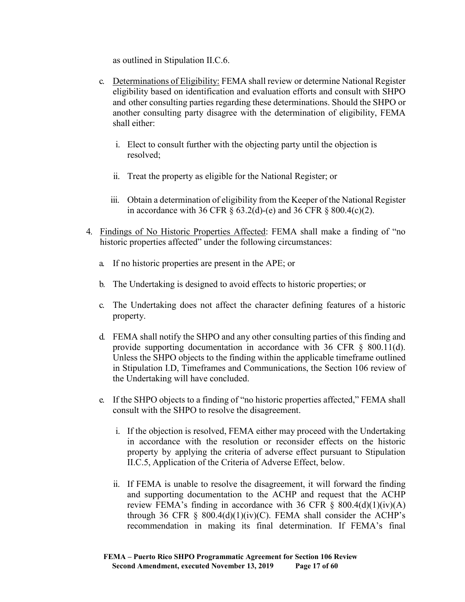as outlined in Stipulation II.C.6.

- c. Determinations of Eligibility: FEMA shall review or determine National Register eligibility based on identification and evaluation efforts and consult with SHPO and other consulting parties regarding these determinations. Should the SHPO or another consulting party disagree with the determination of eligibility, FEMA shall either:
	- i. Elect to consult further with the objecting party until the objection is resolved;
	- ii. Treat the property as eligible for the National Register; or
	- iii. Obtain a determination of eligibility from the Keeper of the National Register in accordance with 36 CFR  $\S$  63.2(d)-(e) and 36 CFR  $\S$  800.4(c)(2).
- 4. Findings of No Historic Properties Affected: FEMA shall make a finding of "no historic properties affected" under the following circumstances:
	- a. If no historic properties are present in the APE; or
	- b. The Undertaking is designed to avoid effects to historic properties; or
	- c. The Undertaking does not affect the character defining features of a historic property.
	- d. FEMA shall notify the SHPO and any other consulting parties of this finding and provide supporting documentation in accordance with 36 CFR § 800.11(d). Unless the SHPO objects to the finding within the applicable timeframe outlined in Stipulation I.D, Timeframes and Communications, the Section 106 review of the Undertaking will have concluded.
	- e. If the SHPO objects to a finding of "no historic properties affected," FEMA shall consult with the SHPO to resolve the disagreement.
		- i. If the objection is resolved, FEMA either may proceed with the Undertaking in accordance with the resolution or reconsider effects on the historic property by applying the criteria of adverse effect pursuant to Stipulation II.C.5, Application of the Criteria of Adverse Effect, below.
		- ii. If FEMA is unable to resolve the disagreement, it will forward the finding and supporting documentation to the ACHP and request that the ACHP review FEMA's finding in accordance with 36 CFR  $\S$  800.4(d)(1)(iv)(A) through 36 CFR  $\S$  800.4(d)(1)(iv)(C). FEMA shall consider the ACHP's recommendation in making its final determination. If FEMA's final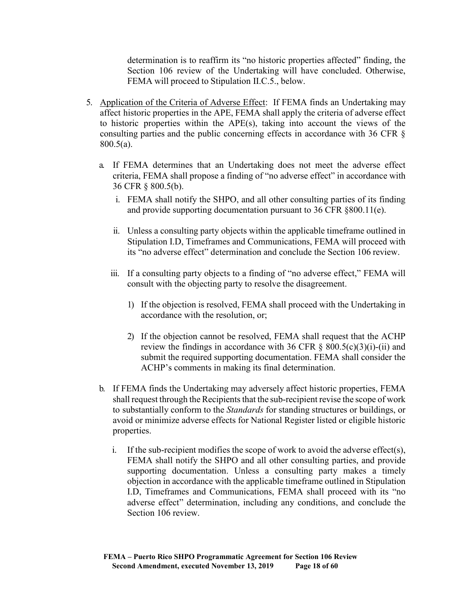determination is to reaffirm its "no historic properties affected" finding, the Section 106 review of the Undertaking will have concluded. Otherwise, FEMA will proceed to Stipulation II.C.5., below.

- 5. Application of the Criteria of Adverse Effect: If FEMA finds an Undertaking may affect historic properties in the APE, FEMA shall apply the criteria of adverse effect to historic properties within the APE(s), taking into account the views of the consulting parties and the public concerning effects in accordance with 36 CFR § 800.5(a).
	- a. If FEMA determines that an Undertaking does not meet the adverse effect criteria, FEMA shall propose a finding of "no adverse effect" in accordance with 36 CFR § 800.5(b).
		- i. FEMA shall notify the SHPO, and all other consulting parties of its finding and provide supporting documentation pursuant to 36 CFR §800.11(e).
		- ii. Unless a consulting party objects within the applicable timeframe outlined in Stipulation I.D, Timeframes and Communications, FEMA will proceed with its "no adverse effect" determination and conclude the Section 106 review.
		- iii. If a consulting party objects to a finding of "no adverse effect," FEMA will consult with the objecting party to resolve the disagreement.
			- 1) If the objection is resolved, FEMA shall proceed with the Undertaking in accordance with the resolution, or;
			- 2) If the objection cannot be resolved, FEMA shall request that the ACHP review the findings in accordance with 36 CFR  $\S$  800.5(c)(3)(i)-(ii) and submit the required supporting documentation. FEMA shall consider the ACHP's comments in making its final determination.
	- b. If FEMA finds the Undertaking may adversely affect historic properties, FEMA shall request through the Recipients that the sub-recipient revise the scope of work to substantially conform to the *Standards* for standing structures or buildings, or avoid or minimize adverse effects for National Register listed or eligible historic properties.
		- i. If the sub-recipient modifies the scope of work to avoid the adverse effect(s), FEMA shall notify the SHPO and all other consulting parties, and provide supporting documentation. Unless a consulting party makes a timely objection in accordance with the applicable timeframe outlined in Stipulation I.D, Timeframes and Communications, FEMA shall proceed with its "no adverse effect" determination, including any conditions, and conclude the Section 106 review.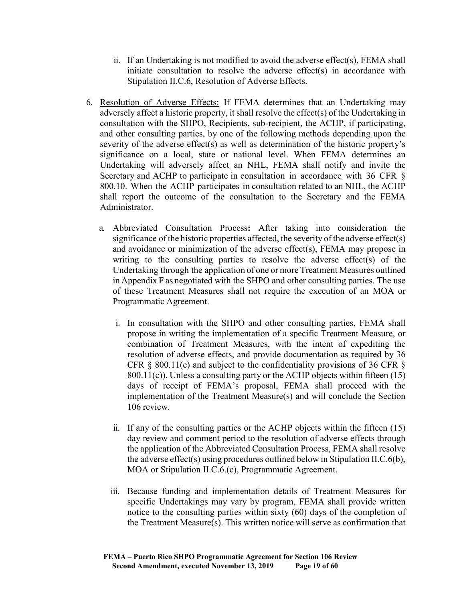- ii. If an Undertaking is not modified to avoid the adverse effect(s), FEMA shall initiate consultation to resolve the adverse effect(s) in accordance with Stipulation II.C.6, Resolution of Adverse Effects.
- 6. Resolution of Adverse Effects: If FEMA determines that an Undertaking may adversely affect a historic property, it shall resolve the effect(s) of the Undertaking in consultation with the SHPO, Recipients, sub-recipient, the ACHP, if participating, and other consulting parties, by one of the following methods depending upon the severity of the adverse effect(s) as well as determination of the historic property's significance on a local, state or national level. When FEMA determines an Undertaking will adversely affect an NHL, FEMA shall notify and invite the Secretary and ACHP to participate in consultation in accordance with 36 CFR § 800.10. When the ACHP participates in consultation related to an NHL, the ACHP shall report the outcome of the consultation to the Secretary and the FEMA Administrator.
	- a. Abbreviated Consultation Process**:** After taking into consideration the significance of the historic properties affected, the severity of the adverse effect(s) and avoidance or minimization of the adverse effect(s), FEMA may propose in writing to the consulting parties to resolve the adverse effect(s) of the Undertaking through the application of one or more Treatment Measures outlined in Appendix F as negotiated with the SHPO and other consulting parties. The use of these Treatment Measures shall not require the execution of an MOA or Programmatic Agreement.
		- i. In consultation with the SHPO and other consulting parties, FEMA shall propose in writing the implementation of a specific Treatment Measure, or combination of Treatment Measures, with the intent of expediting the resolution of adverse effects, and provide documentation as required by 36 CFR  $\&$  800.11(e) and subject to the confidentiality provisions of 36 CFR  $\&$  $800.11(c)$ ). Unless a consulting party or the ACHP objects within fifteen (15) days of receipt of FEMA's proposal, FEMA shall proceed with the implementation of the Treatment Measure(s) and will conclude the Section 106 review.
		- ii. If any of the consulting parties or the ACHP objects within the fifteen (15) day review and comment period to the resolution of adverse effects through the application of the Abbreviated Consultation Process, FEMA shall resolve the adverse effect(s) using procedures outlined below in Stipulation II.C.6(b), MOA or Stipulation II.C.6.(c), Programmatic Agreement.
		- iii. Because funding and implementation details of Treatment Measures for specific Undertakings may vary by program, FEMA shall provide written notice to the consulting parties within sixty (60) days of the completion of the Treatment Measure(s). This written notice will serve as confirmation that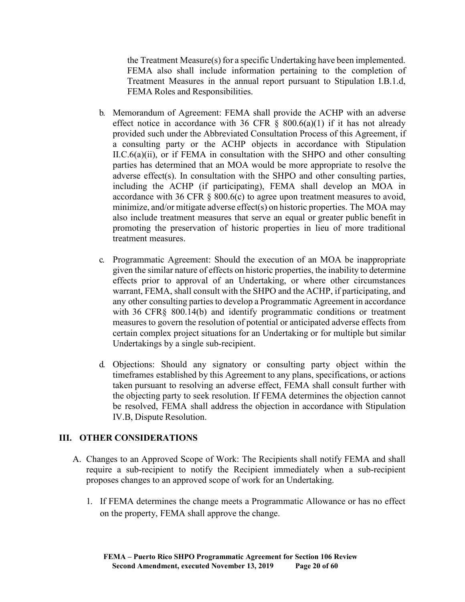the Treatment Measure(s) for a specific Undertaking have been implemented. FEMA also shall include information pertaining to the completion of Treatment Measures in the annual report pursuant to Stipulation I.B.1.d, FEMA Roles and Responsibilities.

- b. Memorandum of Agreement: FEMA shall provide the ACHP with an adverse effect notice in accordance with 36 CFR  $\S$  800.6(a)(1) if it has not already provided such under the Abbreviated Consultation Process of this Agreement, if a consulting party or the ACHP objects in accordance with Stipulation II.C.6(a)(ii), or if FEMA in consultation with the SHPO and other consulting parties has determined that an MOA would be more appropriate to resolve the adverse effect(s). In consultation with the SHPO and other consulting parties, including the ACHP (if participating), FEMA shall develop an MOA in accordance with 36 CFR  $\S$  800.6(c) to agree upon treatment measures to avoid, minimize, and/or mitigate adverse effect(s) on historic properties. The MOA may also include treatment measures that serve an equal or greater public benefit in promoting the preservation of historic properties in lieu of more traditional treatment measures.
- c. Programmatic Agreement: Should the execution of an MOA be inappropriate given the similar nature of effects on historic properties, the inability to determine effects prior to approval of an Undertaking, or where other circumstances warrant, FEMA, shall consult with the SHPO and the ACHP, if participating, and any other consulting parties to develop a Programmatic Agreement in accordance with 36 CFR§ 800.14(b) and identify programmatic conditions or treatment measures to govern the resolution of potential or anticipated adverse effects from certain complex project situations for an Undertaking or for multiple but similar Undertakings by a single sub-recipient.
- d. Objections: Should any signatory or consulting party object within the timeframes established by this Agreement to any plans, specifications, or actions taken pursuant to resolving an adverse effect, FEMA shall consult further with the objecting party to seek resolution. If FEMA determines the objection cannot be resolved, FEMA shall address the objection in accordance with Stipulation IV.B, Dispute Resolution.

#### **III. OTHER CONSIDERATIONS**

- A. Changes to an Approved Scope of Work: The Recipients shall notify FEMA and shall require a sub-recipient to notify the Recipient immediately when a sub-recipient proposes changes to an approved scope of work for an Undertaking.
	- 1. If FEMA determines the change meets a Programmatic Allowance or has no effect on the property, FEMA shall approve the change.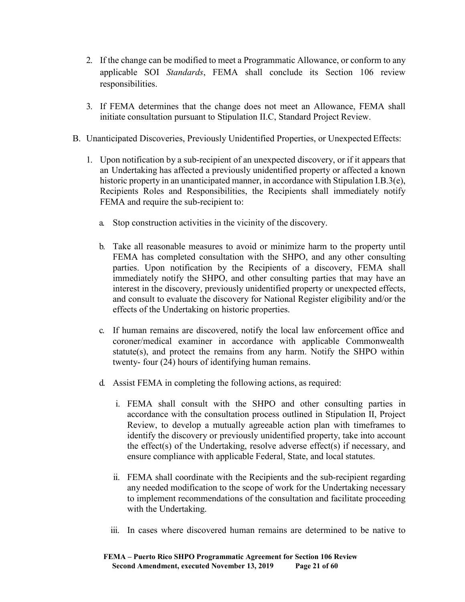- 2. If the change can be modified to meet a Programmatic Allowance, or conform to any applicable SOI *Standards*, FEMA shall conclude its Section 106 review responsibilities.
- 3. If FEMA determines that the change does not meet an Allowance, FEMA shall initiate consultation pursuant to Stipulation II.C, Standard Project Review.
- B. Unanticipated Discoveries, Previously Unidentified Properties, or Unexpected Effects:
	- 1. Upon notification by a sub-recipient of an unexpected discovery, or if it appears that an Undertaking has affected a previously unidentified property or affected a known historic property in an unanticipated manner, in accordance with Stipulation I.B.3(e), Recipients Roles and Responsibilities, the Recipients shall immediately notify FEMA and require the sub-recipient to:
		- a. Stop construction activities in the vicinity of the discovery.
		- b. Take all reasonable measures to avoid or minimize harm to the property until FEMA has completed consultation with the SHPO, and any other consulting parties. Upon notification by the Recipients of a discovery, FEMA shall immediately notify the SHPO, and other consulting parties that may have an interest in the discovery, previously unidentified property or unexpected effects, and consult to evaluate the discovery for National Register eligibility and/or the effects of the Undertaking on historic properties.
		- c. If human remains are discovered, notify the local law enforcement office and coroner/medical examiner in accordance with applicable Commonwealth statute(s), and protect the remains from any harm. Notify the SHPO within twenty- four (24) hours of identifying human remains.
		- d. Assist FEMA in completing the following actions, as required:
			- i. FEMA shall consult with the SHPO and other consulting parties in accordance with the consultation process outlined in Stipulation II, Project Review, to develop a mutually agreeable action plan with timeframes to identify the discovery or previously unidentified property, take into account the effect(s) of the Undertaking, resolve adverse effect(s) if necessary, and ensure compliance with applicable Federal, State, and local statutes.
			- ii. FEMA shall coordinate with the Recipients and the sub-recipient regarding any needed modification to the scope of work for the Undertaking necessary to implement recommendations of the consultation and facilitate proceeding with the Undertaking.
			- iii. In cases where discovered human remains are determined to be native to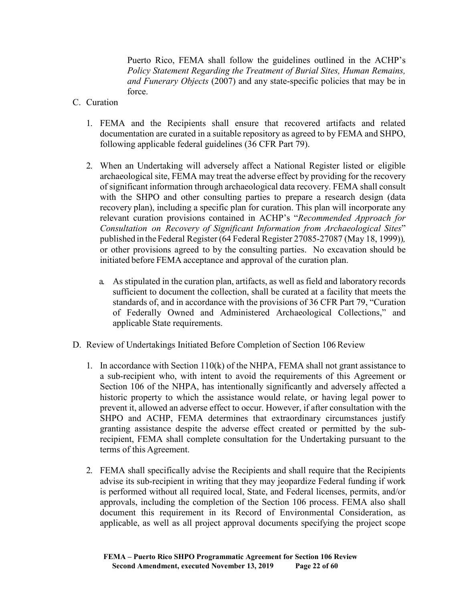Puerto Rico, FEMA shall follow the guidelines outlined in the ACHP's *Policy Statement Regarding the Treatment of Burial Sites, Human Remains, and Funerary Objects* (2007) and any state-specific policies that may be in force.

- C. Curation
	- 1. FEMA and the Recipients shall ensure that recovered artifacts and related documentation are curated in a suitable repository as agreed to by FEMA and SHPO, following applicable federal guidelines (36 CFR Part 79).
	- 2. When an Undertaking will adversely affect a National Register listed or eligible archaeological site, FEMA may treat the adverse effect by providing for the recovery of significant information through archaeological data recovery. FEMA shall consult with the SHPO and other consulting parties to prepare a research design (data recovery plan), including a specific plan for curation. This plan will incorporate any relevant curation provisions contained in ACHP's "*Recommended Approach for Consultation on Recovery of Significant Information from Archaeological Sites*" published in the Federal Register (64 Federal Register 27085-27087 (May 18, 1999))*,* or other provisions agreed to by the consulting parties. No excavation should be initiated before FEMA acceptance and approval of the curation plan.
		- a. As stipulated in the curation plan, artifacts, as well as field and laboratory records sufficient to document the collection, shall be curated at a facility that meets the standards of, and in accordance with the provisions of 36 CFR Part 79, "Curation of Federally Owned and Administered Archaeological Collections," and applicable State requirements.
- D. Review of Undertakings Initiated Before Completion of Section 106 Review
	- 1. In accordance with Section 110(k) of the NHPA, FEMA shall not grant assistance to a sub-recipient who, with intent to avoid the requirements of this Agreement or Section 106 of the NHPA, has intentionally significantly and adversely affected a historic property to which the assistance would relate, or having legal power to prevent it, allowed an adverse effect to occur. However, if after consultation with the SHPO and ACHP, FEMA determines that extraordinary circumstances justify granting assistance despite the adverse effect created or permitted by the subrecipient, FEMA shall complete consultation for the Undertaking pursuant to the terms of this Agreement.
	- 2. FEMA shall specifically advise the Recipients and shall require that the Recipients advise its sub-recipient in writing that they may jeopardize Federal funding if work is performed without all required local, State, and Federal licenses, permits, and/or approvals, including the completion of the Section 106 process. FEMA also shall document this requirement in its Record of Environmental Consideration, as applicable, as well as all project approval documents specifying the project scope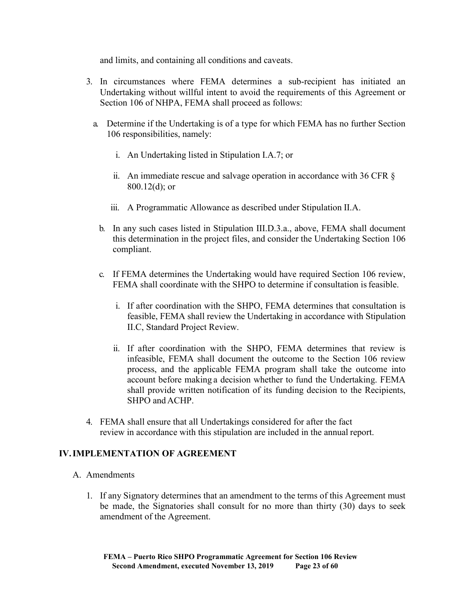and limits, and containing all conditions and caveats.

- 3. In circumstances where FEMA determines a sub-recipient has initiated an Undertaking without willful intent to avoid the requirements of this Agreement or Section 106 of NHPA, FEMA shall proceed as follows:
	- a. Determine if the Undertaking is of a type for which FEMA has no further Section 106 responsibilities, namely:
		- i. An Undertaking listed in Stipulation I.A.7; or
		- ii. An immediate rescue and salvage operation in accordance with 36 CFR § 800.12(d); or
		- iii. A Programmatic Allowance as described under Stipulation II.A.
		- b. In any such cases listed in Stipulation III.D.3.a., above, FEMA shall document this determination in the project files, and consider the Undertaking Section 106 compliant.
		- c. If FEMA determines the Undertaking would have required Section 106 review, FEMA shall coordinate with the SHPO to determine if consultation isfeasible.
			- i. If after coordination with the SHPO, FEMA determines that consultation is feasible, FEMA shall review the Undertaking in accordance with Stipulation II.C, Standard Project Review.
			- ii. If after coordination with the SHPO, FEMA determines that review is infeasible, FEMA shall document the outcome to the Section 106 review process, and the applicable FEMA program shall take the outcome into account before making a decision whether to fund the Undertaking. FEMA shall provide written notification of its funding decision to the Recipients, SHPO and ACHP.
- 4. FEMA shall ensure that all Undertakings considered for after the fact review in accordance with this stipulation are included in the annual report.

# **IV.IMPLEMENTATION OF AGREEMENT**

- A. Amendments
	- 1. If any Signatory determines that an amendment to the terms of this Agreement must be made, the Signatories shall consult for no more than thirty (30) days to seek amendment of the Agreement.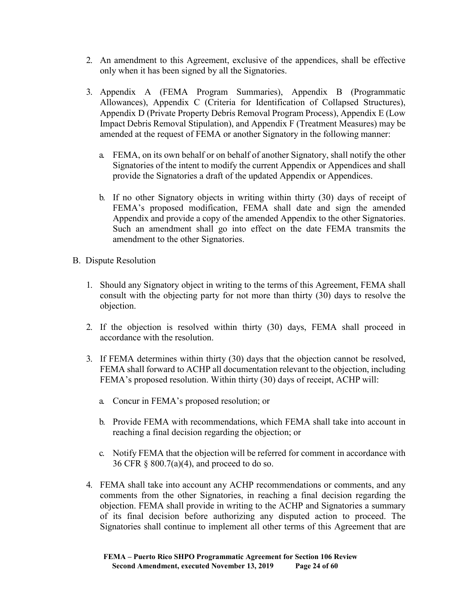- 2. An amendment to this Agreement, exclusive of the appendices, shall be effective only when it has been signed by all the Signatories.
- 3. Appendix A (FEMA Program Summaries), Appendix B (Programmatic Allowances), Appendix C (Criteria for Identification of Collapsed Structures), Appendix D (Private Property Debris Removal Program Process), Appendix E (Low Impact Debris Removal Stipulation), and Appendix F (Treatment Measures) may be amended at the request of FEMA or another Signatory in the following manner:
	- a. FEMA, on its own behalf or on behalf of another Signatory, shall notify the other Signatories of the intent to modify the current Appendix or Appendices and shall provide the Signatories a draft of the updated Appendix or Appendices.
	- b. If no other Signatory objects in writing within thirty (30) days of receipt of FEMA's proposed modification, FEMA shall date and sign the amended Appendix and provide a copy of the amended Appendix to the other Signatories. Such an amendment shall go into effect on the date FEMA transmits the amendment to the other Signatories.
- B. Dispute Resolution
	- 1. Should any Signatory object in writing to the terms of this Agreement, FEMA shall consult with the objecting party for not more than thirty (30) days to resolve the objection.
	- 2. If the objection is resolved within thirty (30) days, FEMA shall proceed in accordance with the resolution.
	- 3. If FEMA determines within thirty (30) days that the objection cannot be resolved, FEMA shall forward to ACHP all documentation relevant to the objection, including FEMA's proposed resolution. Within thirty (30) days of receipt, ACHP will:
		- a. Concur in FEMA's proposed resolution; or
		- b. Provide FEMA with recommendations, which FEMA shall take into account in reaching a final decision regarding the objection; or
		- c. Notify FEMA that the objection will be referred for comment in accordance with 36 CFR § 800.7(a)(4), and proceed to do so.
	- 4. FEMA shall take into account any ACHP recommendations or comments, and any comments from the other Signatories, in reaching a final decision regarding the objection. FEMA shall provide in writing to the ACHP and Signatories a summary of its final decision before authorizing any disputed action to proceed. The Signatories shall continue to implement all other terms of this Agreement that are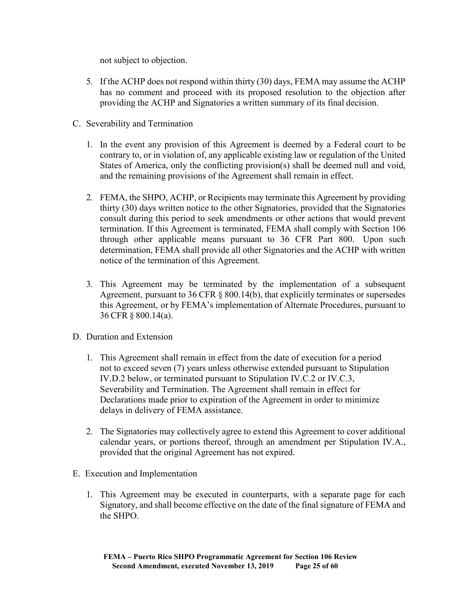not subject to objection.

- 5. If the ACHP does not respond within thirty (30) days, FEMA may assume the ACHP has no comment and proceed with its proposed resolution to the objection after providing the ACHP and Signatories a written summary of its final decision.
- C. Severability and Termination
	- 1. In the event any provision of this Agreement is deemed by a Federal court to be contrary to, or in violation of, any applicable existing law or regulation of the United States of America, only the conflicting provision(s) shall be deemed null and void, and the remaining provisions of the Agreement shall remain in effect.
	- 2. FEMA, the SHPO, ACHP, or Recipients may terminate this Agreement by providing thirty (30) days written notice to the other Signatories, provided that the Signatories consult during this period to seek amendments or other actions that would prevent termination. If this Agreement is terminated, FEMA shall comply with Section 106 through other applicable means pursuant to 36 CFR Part 800. Upon such determination, FEMA shall provide all other Signatories and the ACHP with written notice of the termination of this Agreement.
	- 3. This Agreement may be terminated by the implementation of a subsequent Agreement, pursuant to 36 CFR § 800.14(b), that explicitly terminates or supersedes this Agreement, or by FEMA's implementation of Alternate Procedures, pursuant to 36 CFR § 800.14(a).
- D. Duration and Extension
	- 1. This Agreement shall remain in effect from the date of execution for a period not to exceed seven (7) years unless otherwise extended pursuant to Stipulation IV.D.2 below, or terminated pursuant to Stipulation IV.C.2 or IV.C.3, Severability and Termination. The Agreement shall remain in effect for Declarations made prior to expiration of the Agreement in order to minimize delays in delivery of FEMA assistance.
	- 2. The Signatories may collectively agree to extend this Agreement to cover additional calendar years, or portions thereof, through an amendment per Stipulation IV.A., provided that the original Agreement has not expired.
- E. Execution and Implementation
	- 1. This Agreement may be executed in counterparts, with a separate page for each Signatory, and shall become effective on the date of the final signature of FEMA and the SHPO.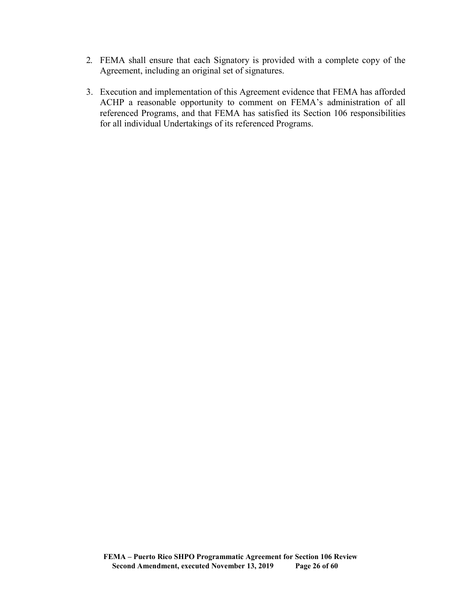- 2. FEMA shall ensure that each Signatory is provided with a complete copy of the Agreement, including an original set of signatures.
- 3. Execution and implementation of this Agreement evidence that FEMA has afforded ACHP a reasonable opportunity to comment on FEMA's administration of all referenced Programs, and that FEMA has satisfied its Section 106 responsibilities for all individual Undertakings of its referenced Programs.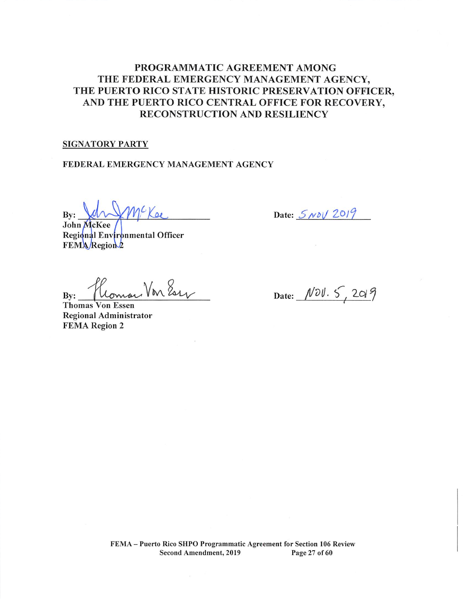# PROGRAMMATIC AGREEMENT AMONG THE FEDERAL EMERGENCY MANAGEMENT AGENCY, THE PUERTO RICO STATE HISTORIC PRESERVATION OFFICER, AND THE PUERTO RICO CENTRAL OFFICE FOR RECOVERY, **RECONSTRUCTION AND RESILIENCY**

#### **SIGNATORY PARTY**

#### FEDERAL EMERGENCY MANAGEMENT AGENCY

MC Kee By:

John McKee Regional Environmental Officer FEMA Region 2

Von Ess By:

Thomas Von Essen **Regional Administrator FEMA Region 2** 

Date:  $5N0\sqrt{2019}$ 

Date:  $N\ddot{o}V. 5, 2019$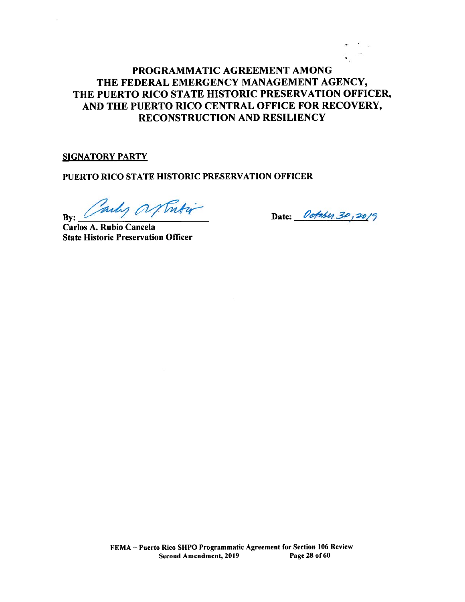# PROGRAMMATIC AGREEMENT AMONG THE FEDERAL EMERGENCY MANAGEMENT AGENCY, THE PUERTO RICO STATE HISTORIC PRESERVATION OFFICER, AND THE PUERTO RICO CENTRAL OFFICE FOR RECOVERY, **RECONSTRUCTION AND RESILIENCY**

#### **SIGNATORY PARTY**

PUERTO RICO STATE HISTORIC PRESERVATION OFFICER

Tubi why a By:

Date: October 30, 2019

Carlos A. Rubio Cancela **State Historic Preservation Officer**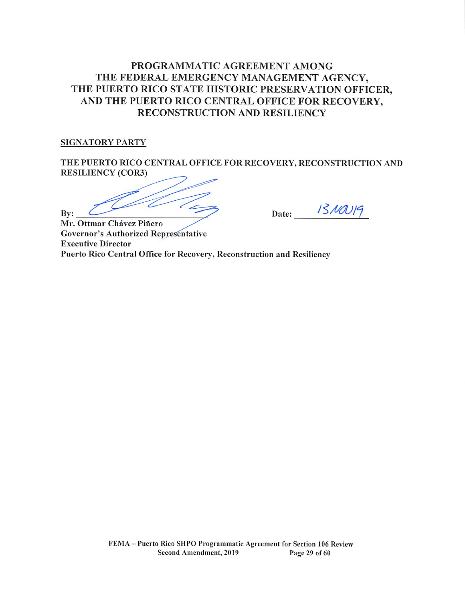# PROGRAMMATIC AGREEMENT AMONG THE FEDERAL EMERGENCY MANAGEMENT AGENCY, THE PUERTO RICO STATE HISTORIC PRESERVATION OFFICER, AND THE PUERTO RICO CENTRAL OFFICE FOR RECOVERY. **RECONSTRUCTION AND RESILIENCY**

#### **SIGNATORY PARTY**

THE PUERTO RICO CENTRAL OFFICE FOR RECOVERY, RECONSTRUCTION AND **RESILIENCY (COR3)** 

Bv:

Date:  $1310019$ 

Mr. Ottmar Chávez Piñero **Governor's Authorized Representative Executive Director** Puerto Rico Central Office for Recovery, Reconstruction and Resiliency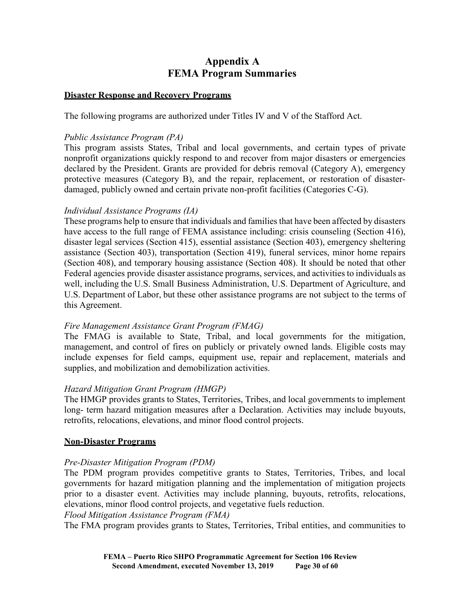# **Appendix A FEMA Program Summaries**

#### **Disaster Response and Recovery Programs**

The following programs are authorized under Titles IV and V of the Stafford Act.

#### *Public Assistance Program (PA)*

This program assists States, Tribal and local governments, and certain types of private nonprofit organizations quickly respond to and recover from major disasters or emergencies declared by the President. Grants are provided for debris removal (Category A), emergency protective measures (Category B), and the repair, replacement, or restoration of disasterdamaged, publicly owned and certain private non-profit facilities (Categories C-G).

## *Individual Assistance Programs (IA)*

These programs help to ensure that individuals and families that have been affected by disasters have access to the full range of FEMA assistance including: crisis counseling (Section 416), disaster legal services (Section 415), essential assistance (Section 403), emergency sheltering assistance (Section 403), transportation (Section 419), funeral services, minor home repairs (Section 408), and temporary housing assistance (Section 408). It should be noted that other Federal agencies provide disaster assistance programs, services, and activities to individuals as well, including the U.S. Small Business Administration, U.S. Department of Agriculture, and U.S. Department of Labor, but these other assistance programs are not subject to the terms of this Agreement.

#### *Fire Management Assistance Grant Program (FMAG)*

The FMAG is available to State, Tribal, and local governments for the mitigation, management, and control of fires on publicly or privately owned lands. Eligible costs may include expenses for field camps, equipment use, repair and replacement, materials and supplies, and mobilization and demobilization activities.

# *Hazard Mitigation Grant Program (HMGP)*

The HMGP provides grants to States, Territories, Tribes, and local governments to implement long- term hazard mitigation measures after a Declaration. Activities may include buyouts, retrofits, relocations, elevations, and minor flood control projects.

#### **Non-Disaster Programs**

# *Pre-Disaster Mitigation Program (PDM)*

The PDM program provides competitive grants to States, Territories, Tribes, and local governments for hazard mitigation planning and the implementation of mitigation projects prior to a disaster event. Activities may include planning, buyouts, retrofits, relocations, elevations, minor flood control projects, and vegetative fuels reduction.

#### *Flood Mitigation Assistance Program (FMA)*

The FMA program provides grants to States, Territories, Tribal entities, and communities to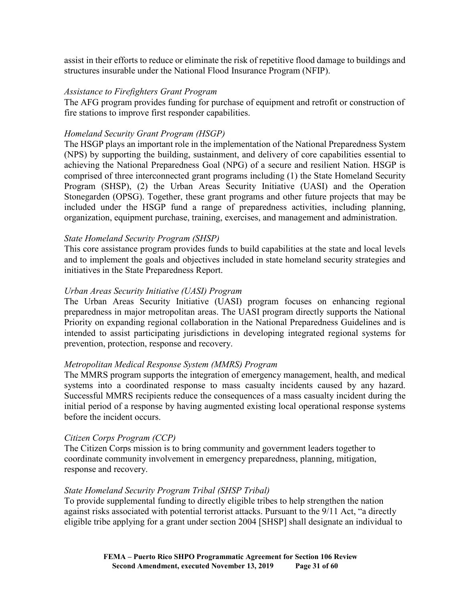assist in their efforts to reduce or eliminate the risk of repetitive flood damage to buildings and structures insurable under the National Flood Insurance Program (NFIP).

#### *Assistance to Firefighters Grant Program*

The AFG program provides funding for purchase of equipment and retrofit or construction of fire stations to improve first responder capabilities.

#### *Homeland Security Grant Program (HSGP)*

The HSGP plays an important role in the implementation of the National Preparedness System (NPS) by supporting the building, sustainment, and delivery of core capabilities essential to achieving the National Preparedness Goal (NPG) of a secure and resilient Nation. HSGP is comprised of three interconnected grant programs including (1) the State Homeland Security Program (SHSP), (2) the Urban Areas Security Initiative (UASI) and the Operation Stonegarden (OPSG). Together, these grant programs and other future projects that may be included under the HSGP fund a range of preparedness activities, including planning, organization, equipment purchase, training, exercises, and management and administration.

## *State Homeland Security Program (SHSP)*

This core assistance program provides funds to build capabilities at the state and local levels and to implement the goals and objectives included in state homeland security strategies and initiatives in the State Preparedness Report.

## *Urban Areas Security Initiative (UASI) Program*

The Urban Areas Security Initiative (UASI) program focuses on enhancing regional preparedness in major metropolitan areas. The UASI program directly supports the National Priority on expanding regional collaboration in the National Preparedness Guidelines and is intended to assist participating jurisdictions in developing integrated regional systems for prevention, protection, response and recovery.

#### *Metropolitan Medical Response System (MMRS) Program*

The MMRS program supports the integration of emergency management, health, and medical systems into a coordinated response to mass casualty incidents caused by any hazard. Successful MMRS recipients reduce the consequences of a mass casualty incident during the initial period of a response by having augmented existing local operational response systems before the incident occurs.

#### *Citizen Corps Program (CCP)*

The Citizen Corps mission is to bring community and government leaders together to coordinate community involvement in emergency preparedness, planning, mitigation, response and recovery.

#### *State Homeland Security Program Tribal (SHSP Tribal)*

To provide supplemental funding to directly eligible tribes to help strengthen the nation against risks associated with potential terrorist attacks. Pursuant to the 9/11 Act, "a directly eligible tribe applying for a grant under section 2004 [SHSP] shall designate an individual to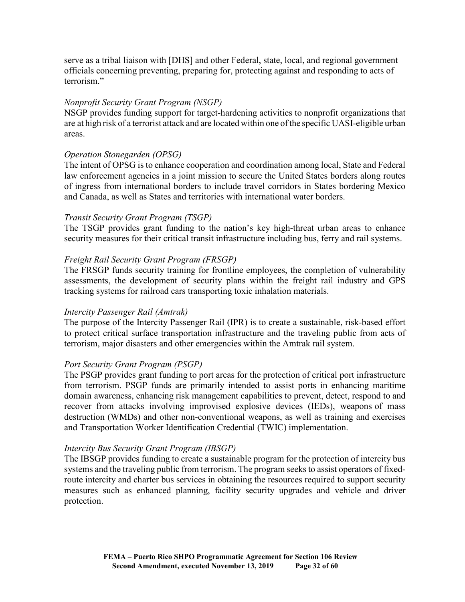serve as a tribal liaison with [DHS] and other Federal, state, local, and regional government officials concerning preventing, preparing for, protecting against and responding to acts of terrorism."

## *Nonprofit Security Grant Program (NSGP)*

NSGP provides funding support for target-hardening activities to nonprofit organizations that are at high risk of a terrorist attack and are located within one ofthe specific UASI-eligible urban areas.

## *Operation Stonegarden (OPSG)*

The intent of OPSG is to enhance cooperation and coordination among local, State and Federal law enforcement agencies in a joint mission to secure the United States borders along routes of ingress from international borders to include travel corridors in States bordering Mexico and Canada, as well as States and territories with international water borders.

## *Transit Security Grant Program (TSGP)*

The TSGP provides grant funding to the nation's key high-threat urban areas to enhance security measures for their critical transit infrastructure including bus, ferry and rail systems.

# *Freight Rail Security Grant Program (FRSGP)*

The FRSGP funds security training for frontline employees, the completion of vulnerability assessments, the development of security plans within the freight rail industry and GPS tracking systems for railroad cars transporting toxic inhalation materials.

# *Intercity Passenger Rail (Amtrak)*

The purpose of the Intercity Passenger Rail (IPR) is to create a sustainable, risk-based effort to protect critical surface transportation infrastructure and the traveling public from acts of terrorism, major disasters and other emergencies within the Amtrak rail system.

# *Port Security Grant Program (PSGP)*

The PSGP provides grant funding to port areas for the protection of critical port infrastructure from terrorism. PSGP funds are primarily intended to assist ports in enhancing maritime domain awareness, enhancing risk management capabilities to prevent, detect, respond to and recover from attacks involving improvised explosive devices (IEDs), weapons of mass destruction (WMDs) and other non-conventional weapons, as well as training and exercises and Transportation Worker Identification Credential (TWIC) implementation.

#### *Intercity Bus Security Grant Program (IBSGP)*

The IBSGP provides funding to create a sustainable program for the protection of intercity bus systems and the traveling public from terrorism. The program seeks to assist operators of fixedroute intercity and charter bus services in obtaining the resources required to support security measures such as enhanced planning, facility security upgrades and vehicle and driver protection.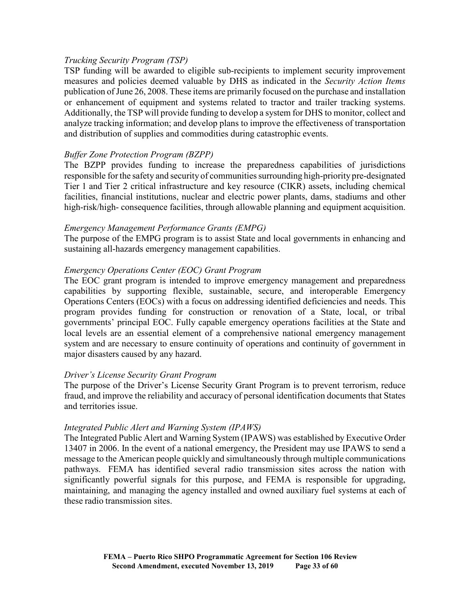#### *Trucking Security Program (TSP)*

TSP funding will be awarded to eligible sub-recipients to implement security improvement measures and policies deemed valuable by DHS as indicated in the *Security Action Items* publication of June 26, 2008. These items are primarily focused on the purchase and installation or enhancement of equipment and systems related to tractor and trailer tracking systems. Additionally, the TSP will provide funding to develop a system for DHS to monitor, collect and analyze tracking information; and develop plans to improve the effectiveness of transportation and distribution of supplies and commodities during catastrophic events.

## *Buffer Zone Protection Program (BZPP)*

The BZPP provides funding to increase the preparedness capabilities of jurisdictions responsible for the safety and security of communities surrounding high-priority pre-designated Tier 1 and Tier 2 critical infrastructure and key resource (CIKR) assets, including chemical facilities, financial institutions, nuclear and electric power plants, dams, stadiums and other high-risk/high- consequence facilities, through allowable planning and equipment acquisition.

#### *Emergency Management Performance Grants (EMPG)*

The purpose of the EMPG program is to assist State and local governments in enhancing and sustaining all-hazards emergency management capabilities.

## *Emergency Operations Center (EOC) Grant Program*

The EOC grant program is intended to improve emergency management and preparedness capabilities by supporting flexible, sustainable, secure, and interoperable Emergency Operations Centers (EOCs) with a focus on addressing identified deficiencies and needs. This program provides funding for construction or renovation of a State, local, or tribal governments' principal EOC. Fully capable emergency operations facilities at the State and local levels are an essential element of a comprehensive national emergency management system and are necessary to ensure continuity of operations and continuity of government in major disasters caused by any hazard.

#### *Driver's License Security Grant Program*

The purpose of the Driver's License Security Grant Program is to prevent terrorism, reduce fraud, and improve the reliability and accuracy of personal identification documents that States and territories issue.

#### *Integrated Public Alert and Warning System (IPAWS)*

The Integrated Public Alert and Warning System (IPAWS) was established by Executive Order 13407 in 2006. In the event of a national emergency, the President may use IPAWS to send a message to the American people quickly and simultaneously through multiple communications pathways. FEMA has identified several radio transmission sites across the nation with significantly powerful signals for this purpose, and FEMA is responsible for upgrading, maintaining, and managing the agency installed and owned auxiliary fuel systems at each of these radio transmission sites.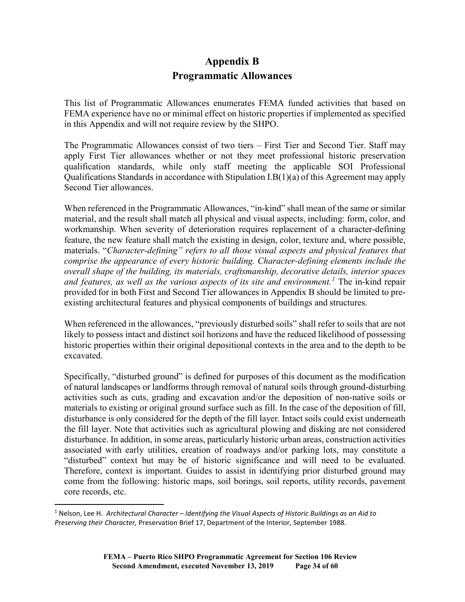# **Appendix B Programmatic Allowances**

This list of Programmatic Allowances enumerates FEMA funded activities that based on FEMA experience have no or minimal effect on historic properties if implemented as specified in this Appendix and will not require review by the SHPO.

The Programmatic Allowances consist of two tiers – First Tier and Second Tier. Staff may apply First Tier allowances whether or not they meet professional historic preservation qualification standards, while only staff meeting the applicable SOI Professional Qualifications Standards in accordance with Stipulation I.B(1)(a) of this Agreement may apply Second Tier allowances.

When referenced in the Programmatic Allowances, "in-kind" shall mean of the same or similar material, and the result shall match all physical and visual aspects, including: form, color, and workmanship. When severity of deterioration requires replacement of a character-defining feature, the new feature shall match the existing in design, color, texture and, where possible, materials. "*Character-defining" refers to all those visual aspects and physical features that comprise the appearance of every historic building. Character-defining elements include the overall shape of the building, its materials, craftsmanship, decorative details, interior spaces and features, as well as the various aspects of its site and environment.[1](#page-33-0)* The in-kind repair provided for in both First and Second Tier allowances in Appendix B should be limited to preexisting architectural features and physical components of buildings and structures.

When referenced in the allowances, "previously disturbed soils" shall refer to soils that are not likely to possess intact and distinct soil horizons and have the reduced likelihood of possessing historic properties within their original depositional contexts in the area and to the depth to be excavated.

Specifically, "disturbed ground" is defined for purposes of this document as the modification of natural landscapes or landforms through removal of natural soils through ground-disturbing activities such as cuts, grading and excavation and/or the deposition of non-native soils or materials to existing or original ground surface such as fill. In the case of the deposition of fill, disturbance is only considered for the depth of the fill layer. Intact soils could exist underneath the fill layer. Note that activities such as agricultural plowing and disking are not considered disturbance. In addition, in some areas, particularly historic urban areas, construction activities associated with early utilities, creation of roadways and/or parking lots, may constitute a "disturbed" context but may be of historic significance and will need to be evaluated. Therefore, context is important. Guides to assist in identifying prior disturbed ground may come from the following: historic maps, soil borings, soil reports, utility records, pavement core records, etc.

<span id="page-33-0"></span> <sup>1</sup> Nelson, Lee H. *Architectural Character – Identifying the Visual Aspects of Historic Buildings as an Aid to Preserving their Character,* Preservation Brief 17, Department of the Interior, September 1988.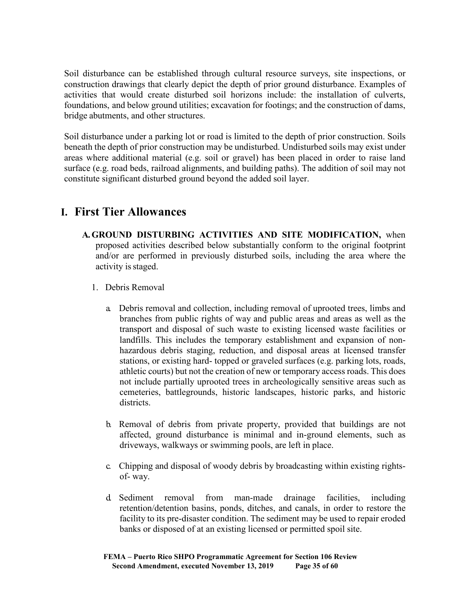Soil disturbance can be established through cultural resource surveys, site inspections, or construction drawings that clearly depict the depth of prior ground disturbance. Examples of activities that would create disturbed soil horizons include: the installation of culverts, foundations, and below ground utilities; excavation for footings; and the construction of dams, bridge abutments, and other structures.

Soil disturbance under a parking lot or road is limited to the depth of prior construction. Soils beneath the depth of prior construction may be undisturbed. Undisturbed soils may exist under areas where additional material (e.g. soil or gravel) has been placed in order to raise land surface (e.g. road beds, railroad alignments, and building paths). The addition of soil may not constitute significant disturbed ground beyond the added soil layer.

# **I. First Tier Allowances**

- **A.GROUND DISTURBING ACTIVITIES AND SITE MODIFICATION,** when proposed activities described below substantially conform to the original footprint and/or are performed in previously disturbed soils, including the area where the activity is staged.
	- 1. Debris Removal
		- a. Debris removal and collection, including removal of uprooted trees, limbs and branches from public rights of way and public areas and areas as well as the transport and disposal of such waste to existing licensed waste facilities or landfills. This includes the temporary establishment and expansion of nonhazardous debris staging, reduction, and disposal areas at licensed transfer stations, or existing hard- topped or graveled surfaces (e.g. parking lots, roads, athletic courts) but not the creation of new or temporary access roads. This does not include partially uprooted trees in archeologically sensitive areas such as cemeteries, battlegrounds, historic landscapes, historic parks, and historic districts.
		- b. Removal of debris from private property, provided that buildings are not affected, ground disturbance is minimal and in-ground elements, such as driveways, walkways or swimming pools, are left in place.
		- c. Chipping and disposal of woody debris by broadcasting within existing rightsof- way.
		- d. Sediment removal from man-made drainage facilities, including retention/detention basins, ponds, ditches, and canals, in order to restore the facility to its pre-disaster condition. The sediment may be used to repair eroded banks or disposed of at an existing licensed or permitted spoil site.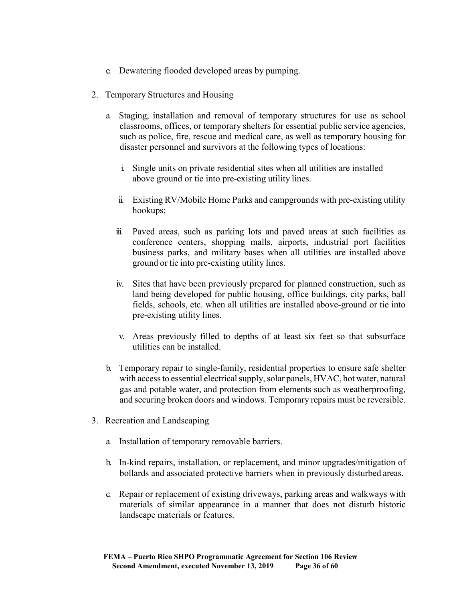- e. Dewatering flooded developed areas by pumping.
- 2. Temporary Structures and Housing
	- a. Staging, installation and removal of temporary structures for use as school classrooms, offices, or temporary shelters for essential public service agencies, such as police, fire, rescue and medical care, as well as temporary housing for disaster personnel and survivors at the following types of locations:
		- i. Single units on private residential sites when all utilities are installed above ground or tie into pre-existing utility lines.
		- ii. Existing RV/Mobile Home Parks and campgrounds with pre-existing utility hookups;
		- iii. Paved areas, such as parking lots and paved areas at such facilities as conference centers, shopping malls, airports, industrial port facilities business parks, and military bases when all utilities are installed above ground or tie into pre-existing utility lines.
		- iv. Sites that have been previously prepared for planned construction, such as land being developed for public housing, office buildings, city parks, ball fields, schools, etc. when all utilities are installed above-ground or tie into pre-existing utility lines.
		- v. Areas previously filled to depths of at least six feet so that subsurface utilities can be installed.
	- b. Temporary repair to single-family, residential properties to ensure safe shelter with access to essential electrical supply, solar panels, HVAC, hot water, natural gas and potable water, and protection from elements such as weatherproofing, and securing broken doors and windows. Temporary repairs must be reversible.
- 3. Recreation and Landscaping
	- a. Installation of temporary removable barriers.
	- b. In-kind repairs, installation, or replacement, and minor upgrades/mitigation of bollards and associated protective barriers when in previously disturbed areas.
	- c. Repair or replacement of existing driveways, parking areas and walkways with materials of similar appearance in a manner that does not disturb historic landscape materials or features.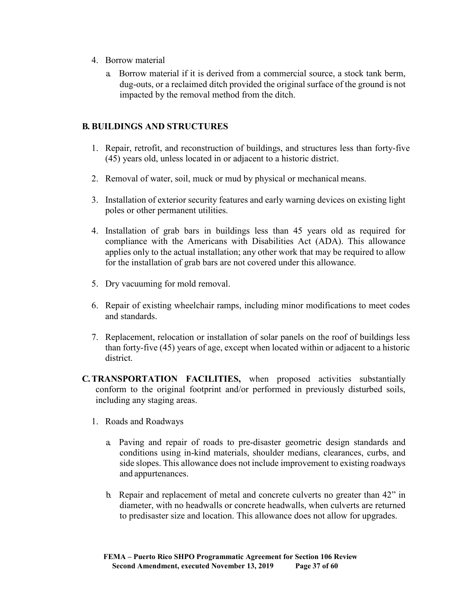- 4. Borrow material
	- a. Borrow material if it is derived from a commercial source, a stock tank berm, dug-outs, or a reclaimed ditch provided the original surface of the ground is not impacted by the removal method from the ditch.

#### **B. BUILDINGS AND STRUCTURES**

- 1. Repair, retrofit, and reconstruction of buildings, and structures less than forty-five (45) years old, unless located in or adjacent to a historic district.
- 2. Removal of water, soil, muck or mud by physical or mechanical means.
- 3. Installation of exterior security features and early warning devices on existing light poles or other permanent utilities.
- 4. Installation of grab bars in buildings less than 45 years old as required for compliance with the Americans with Disabilities Act (ADA). This allowance applies only to the actual installation; any other work that may be required to allow for the installation of grab bars are not covered under this allowance.
- 5. Dry vacuuming for mold removal.
- 6. Repair of existing wheelchair ramps, including minor modifications to meet codes and standards.
- 7. Replacement, relocation or installation of solar panels on the roof of buildings less than forty-five (45) years of age, except when located within or adjacent to a historic district.
- **C.TRANSPORTATION FACILITIES,** when proposed activities substantially conform to the original footprint and/or performed in previously disturbed soils, including any staging areas.
	- 1. Roads and Roadways
		- a. Paving and repair of roads to pre-disaster geometric design standards and conditions using in-kind materials, shoulder medians, clearances, curbs, and side slopes. This allowance does not include improvement to existing roadways and appurtenances.
		- b. Repair and replacement of metal and concrete culverts no greater than 42" in diameter, with no headwalls or concrete headwalls, when culverts are returned to predisaster size and location. This allowance does not allow for upgrades.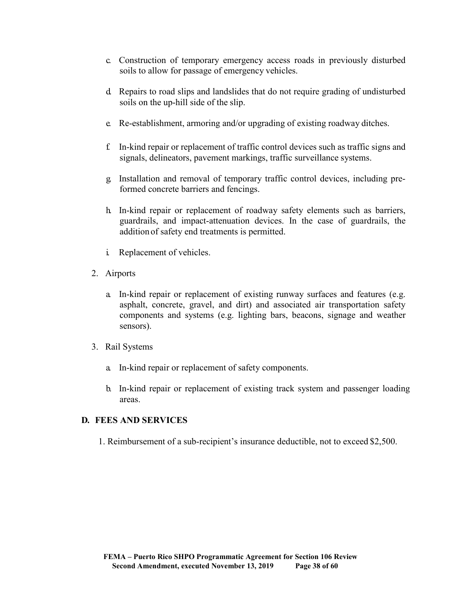- c. Construction of temporary emergency access roads in previously disturbed soils to allow for passage of emergency vehicles.
- d. Repairs to road slips and landslides that do not require grading of undisturbed soils on the up-hill side of the slip.
- e. Re-establishment, armoring and/or upgrading of existing roadway ditches.
- f. In-kind repair or replacement of traffic control devices such as traffic signs and signals, delineators, pavement markings, traffic surveillance systems.
- g. Installation and removal of temporary traffic control devices, including preformed concrete barriers and fencings.
- h. In-kind repair or replacement of roadway safety elements such as barriers, guardrails, and impact-attenuation devices. In the case of guardrails, the addition of safety end treatments is permitted.
- i. Replacement of vehicles.
- 2. Airports
	- a. In-kind repair or replacement of existing runway surfaces and features (e.g. asphalt, concrete, gravel, and dirt) and associated air transportation safety components and systems (e.g. lighting bars, beacons, signage and weather sensors).
- 3. Rail Systems
	- a. In-kind repair or replacement of safety components.
	- b. In-kind repair or replacement of existing track system and passenger loading areas.

#### **D. FEES AND SERVICES**

1. Reimbursement of a sub-recipient's insurance deductible, not to exceed \$2,500.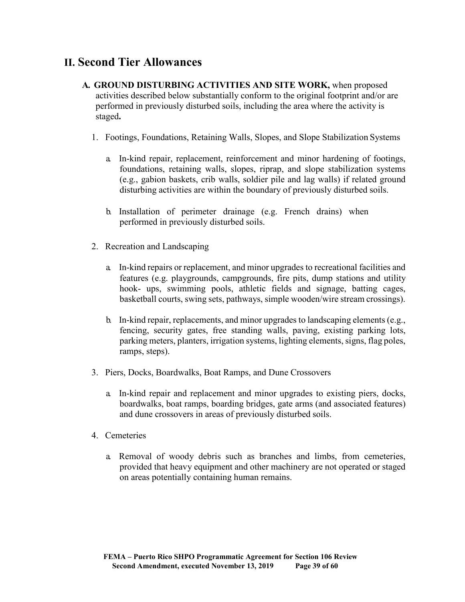# **II. Second Tier Allowances**

- **A. GROUND DISTURBING ACTIVITIES AND SITE WORK,** when proposed activities described below substantially conform to the original footprint and/or are performed in previously disturbed soils, including the area where the activity is staged**.**
	- 1. Footings, Foundations, Retaining Walls, Slopes, and Slope Stabilization Systems
		- a. In-kind repair, replacement, reinforcement and minor hardening of footings, foundations, retaining walls, slopes, riprap, and slope stabilization systems (e.g., gabion baskets, crib walls, soldier pile and lag walls) if related ground disturbing activities are within the boundary of previously disturbed soils.
		- b. Installation of perimeter drainage (e.g. French drains) when performed in previously disturbed soils.
	- 2. Recreation and Landscaping
		- a. In-kind repairs or replacement, and minor upgrades to recreational facilities and features (e.g. playgrounds, campgrounds, fire pits, dump stations and utility hook- ups, swimming pools, athletic fields and signage, batting cages, basketball courts, swing sets, pathways, simple wooden/wire stream crossings).
		- b. In-kind repair, replacements, and minor upgrades to landscaping elements (e.g., fencing, security gates, free standing walls, paving, existing parking lots, parking meters, planters, irrigation systems, lighting elements, signs, flag poles, ramps, steps).
	- 3. Piers, Docks, Boardwalks, Boat Ramps, and Dune Crossovers
		- a. In-kind repair and replacement and minor upgrades to existing piers, docks, boardwalks, boat ramps, boarding bridges, gate arms (and associated features) and dune crossovers in areas of previously disturbed soils.
	- 4. Cemeteries
		- a. Removal of woody debris such as branches and limbs, from cemeteries, provided that heavy equipment and other machinery are not operated or staged on areas potentially containing human remains.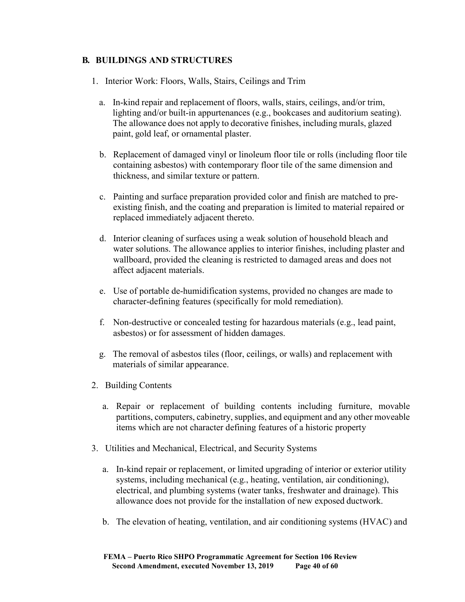# **B. BUILDINGS AND STRUCTURES**

- 1. Interior Work: Floors, Walls, Stairs, Ceilings and Trim
	- a. In-kind repair and replacement of floors, walls, stairs, ceilings, and/or trim, lighting and/or built-in appurtenances (e.g., bookcases and auditorium seating). The allowance does not apply to decorative finishes, including murals, glazed paint, gold leaf, or ornamental plaster.
	- b. Replacement of damaged vinyl or linoleum floor tile or rolls (including floor tile containing asbestos) with contemporary floor tile of the same dimension and thickness, and similar texture or pattern.
	- c. Painting and surface preparation provided color and finish are matched to preexisting finish, and the coating and preparation is limited to material repaired or replaced immediately adjacent thereto.
	- d. Interior cleaning of surfaces using a weak solution of household bleach and water solutions. The allowance applies to interior finishes, including plaster and wallboard, provided the cleaning is restricted to damaged areas and does not affect adjacent materials.
	- e. Use of portable de-humidification systems, provided no changes are made to character-defining features (specifically for mold remediation).
	- f. Non-destructive or concealed testing for hazardous materials (e.g., lead paint, asbestos) or for assessment of hidden damages.
	- g. The removal of asbestos tiles (floor, ceilings, or walls) and replacement with materials of similar appearance.
- 2. Building Contents
	- a. Repair or replacement of building contents including furniture, movable partitions, computers, cabinetry, supplies, and equipment and any other moveable items which are not character defining features of a historic property
- 3. Utilities and Mechanical, Electrical, and Security Systems
	- a. In-kind repair or replacement, or limited upgrading of interior or exterior utility systems, including mechanical (e.g., heating, ventilation, air conditioning), electrical, and plumbing systems (water tanks, freshwater and drainage). This allowance does not provide for the installation of new exposed ductwork.
	- b. The elevation of heating, ventilation, and air conditioning systems (HVAC) and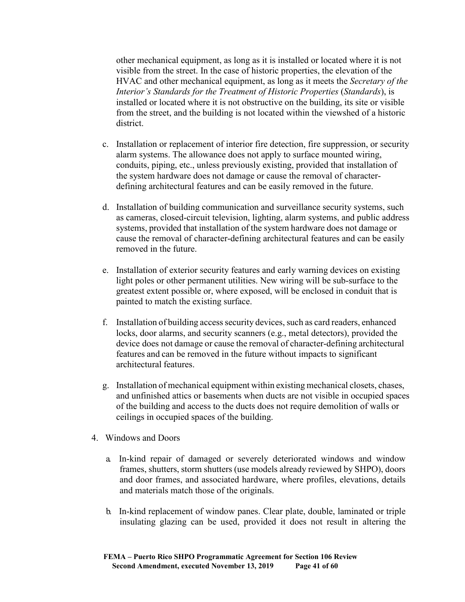other mechanical equipment, as long as it is installed or located where it is not visible from the street. In the case of historic properties, the elevation of the HVAC and other mechanical equipment, as long as it meets the *Secretary of the Interior's Standards for the Treatment of Historic Properties* (*Standards*), is installed or located where it is not obstructive on the building, its site or visible from the street, and the building is not located within the viewshed of a historic district.

- c. Installation or replacement of interior fire detection, fire suppression, or security alarm systems. The allowance does not apply to surface mounted wiring, conduits, piping, etc., unless previously existing, provided that installation of the system hardware does not damage or cause the removal of characterdefining architectural features and can be easily removed in the future.
- d. Installation of building communication and surveillance security systems, such as cameras, closed-circuit television, lighting, alarm systems, and public address systems, provided that installation of the system hardware does not damage or cause the removal of character-defining architectural features and can be easily removed in the future.
- e. Installation of exterior security features and early warning devices on existing light poles or other permanent utilities. New wiring will be sub-surface to the greatest extent possible or, where exposed, will be enclosed in conduit that is painted to match the existing surface.
- f. Installation of building access security devices, such as card readers, enhanced locks, door alarms, and security scanners (e.g., metal detectors), provided the device does not damage or cause the removal of character-defining architectural features and can be removed in the future without impacts to significant architectural features.
- g. Installation of mechanical equipment within existing mechanical closets, chases, and unfinished attics or basements when ducts are not visible in occupied spaces of the building and access to the ducts does not require demolition of walls or ceilings in occupied spaces of the building.
- 4. Windows and Doors
	- a. In-kind repair of damaged or severely deteriorated windows and window frames, shutters, storm shutters (use models already reviewed by SHPO), doors and door frames, and associated hardware, where profiles, elevations, details and materials match those of the originals.
	- b. In-kind replacement of window panes. Clear plate, double, laminated or triple insulating glazing can be used, provided it does not result in altering the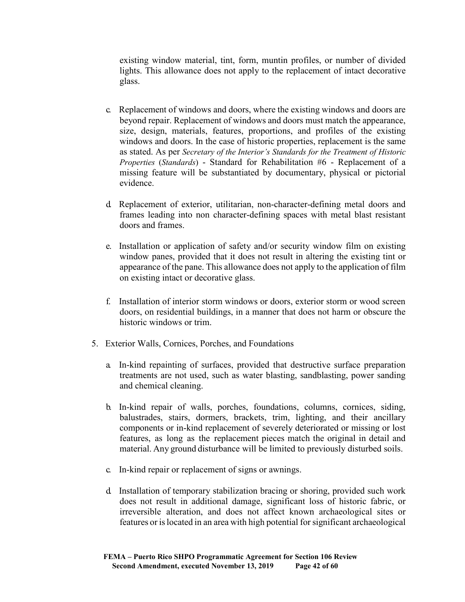existing window material, tint, form, muntin profiles, or number of divided lights. This allowance does not apply to the replacement of intact decorative glass.

- c. Replacement of windows and doors, where the existing windows and doors are beyond repair. Replacement of windows and doors must match the appearance, size, design, materials, features, proportions, and profiles of the existing windows and doors. In the case of historic properties, replacement is the same as stated. As per *Secretary of the Interior's Standards for the Treatment of Historic Properties* (*Standards*) - Standard for Rehabilitation #6 - Replacement of a missing feature will be substantiated by documentary, physical or pictorial evidence.
- d. Replacement of exterior, utilitarian, non-character-defining metal doors and frames leading into non character-defining spaces with metal blast resistant doors and frames.
- e. Installation or application of safety and/or security window film on existing window panes, provided that it does not result in altering the existing tint or appearance of the pane. This allowance does not apply to the application of film on existing intact or decorative glass.
- f. Installation of interior storm windows or doors, exterior storm or wood screen doors, on residential buildings, in a manner that does not harm or obscure the historic windows or trim.
- 5. Exterior Walls, Cornices, Porches, and Foundations
	- a. In-kind repainting of surfaces, provided that destructive surface preparation treatments are not used, such as water blasting, sandblasting, power sanding and chemical cleaning.
	- b. In-kind repair of walls, porches, foundations, columns, cornices, siding, balustrades, stairs, dormers, brackets, trim, lighting, and their ancillary components or in-kind replacement of severely deteriorated or missing or lost features, as long as the replacement pieces match the original in detail and material. Any ground disturbance will be limited to previously disturbed soils.
	- c. In-kind repair or replacement of signs or awnings.
	- d. Installation of temporary stabilization bracing or shoring, provided such work does not result in additional damage, significant loss of historic fabric, or irreversible alteration, and does not affect known archaeological sites or features or islocated in an area with high potential for significant archaeological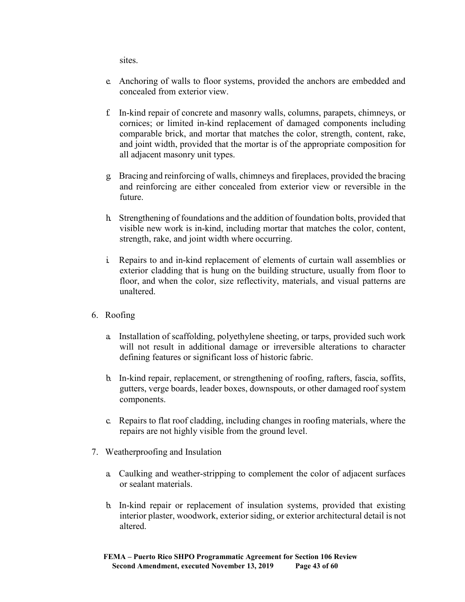sites.

- e. Anchoring of walls to floor systems, provided the anchors are embedded and concealed from exterior view.
- f. In-kind repair of concrete and masonry walls, columns, parapets, chimneys, or cornices; or limited in-kind replacement of damaged components including comparable brick, and mortar that matches the color, strength, content, rake, and joint width, provided that the mortar is of the appropriate composition for all adjacent masonry unit types.
- g. Bracing and reinforcing of walls, chimneys and fireplaces, provided the bracing and reinforcing are either concealed from exterior view or reversible in the future.
- h. Strengthening of foundations and the addition of foundation bolts, provided that visible new work is in-kind, including mortar that matches the color, content, strength, rake, and joint width where occurring.
- i. Repairs to and in-kind replacement of elements of curtain wall assemblies or exterior cladding that is hung on the building structure, usually from floor to floor, and when the color, size reflectivity, materials, and visual patterns are unaltered.
- 6. Roofing
	- a. Installation of scaffolding, polyethylene sheeting, or tarps, provided such work will not result in additional damage or irreversible alterations to character defining features or significant loss of historic fabric.
	- b. In-kind repair, replacement, or strengthening of roofing, rafters, fascia, soffits, gutters, verge boards, leader boxes, downspouts, or other damaged roof system components.
	- c. Repairs to flat roof cladding, including changes in roofing materials, where the repairs are not highly visible from the ground level.
- 7. Weatherproofing and Insulation
	- a. Caulking and weather-stripping to complement the color of adjacent surfaces or sealant materials.
	- b. In-kind repair or replacement of insulation systems, provided that existing interior plaster, woodwork, exterior siding, or exterior architectural detail is not altered.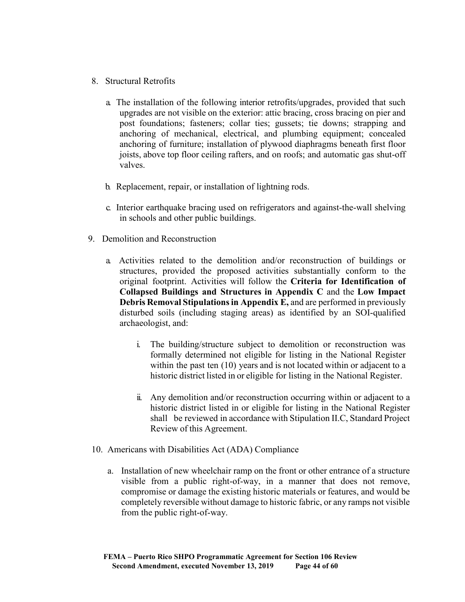- 8. Structural Retrofits
	- a. The installation of the following interior retrofits/upgrades, provided that such upgrades are not visible on the exterior: attic bracing, cross bracing on pier and post foundations; fasteners; collar ties; gussets; tie downs; strapping and anchoring of mechanical, electrical, and plumbing equipment; concealed anchoring of furniture; installation of plywood diaphragms beneath first floor joists, above top floor ceiling rafters, and on roofs; and automatic gas shut-off valves.
	- b. Replacement, repair, or installation of lightning rods.
	- c. Interior earthquake bracing used on refrigerators and against-the-wall shelving in schools and other public buildings.
- 9. Demolition and Reconstruction
	- a. Activities related to the demolition and/or reconstruction of buildings or structures, provided the proposed activities substantially conform to the original footprint. Activities will follow the **Criteria for Identification of Collapsed Buildings and Structures in Appendix C** and the **Low Impact Debris Removal Stipulationsin Appendix E,** and are performed in previously disturbed soils (including staging areas) as identified by an SOI-qualified archaeologist, and:
		- i. The building/structure subject to demolition or reconstruction was formally determined not eligible for listing in the National Register within the past ten (10) years and is not located within or adjacent to a historic district listed in or eligible for listing in the National Register.
		- ii. Any demolition and/or reconstruction occurring within or adjacent to a historic district listed in or eligible for listing in the National Register shall be reviewed in accordance with Stipulation II.C, Standard Project Review of this Agreement.
- 10. Americans with Disabilities Act (ADA) Compliance
	- a. Installation of new wheelchair ramp on the front or other entrance of a structure visible from a public right-of-way, in a manner that does not remove, compromise or damage the existing historic materials or features, and would be completely reversible without damage to historic fabric, or any ramps not visible from the public right-of-way.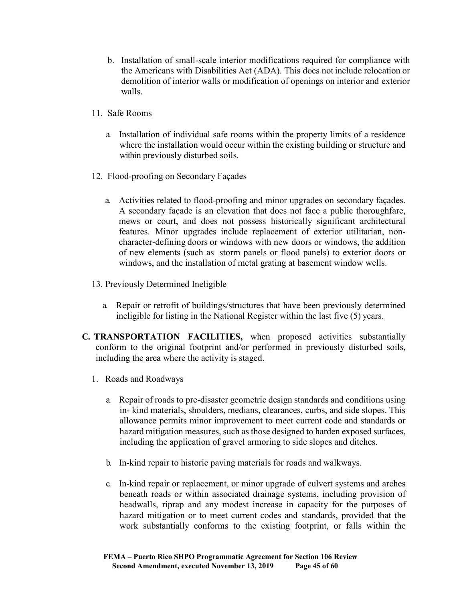- b. Installation of small-scale interior modifications required for compliance with the Americans with Disabilities Act (ADA). This does not include relocation or demolition of interior walls or modification of openings on interior and exterior walls.
- 11. Safe Rooms
	- a. Installation of individual safe rooms within the property limits of a residence where the installation would occur within the existing building or structure and within previously disturbed soils.
- 12. Flood-proofing on Secondary Façades
	- a. Activities related to flood-proofing and minor upgrades on secondary façades. A secondary façade is an elevation that does not face a public thoroughfare, mews or court, and does not possess historically significant architectural features. Minor upgrades include replacement of exterior utilitarian, noncharacter-defining doors or windows with new doors or windows, the addition of new elements (such as storm panels or flood panels) to exterior doors or windows, and the installation of metal grating at basement window wells.
- 13. Previously Determined Ineligible
	- a. Repair or retrofit of buildings/structures that have been previously determined ineligible for listing in the National Register within the last five (5) years.
- **C. TRANSPORTATION FACILITIES,** when proposed activities substantially conform to the original footprint and/or performed in previously disturbed soils, including the area where the activity is staged.
	- 1. Roads and Roadways
		- a. Repair of roads to pre-disaster geometric design standards and conditions using in- kind materials, shoulders, medians, clearances, curbs, and side slopes. This allowance permits minor improvement to meet current code and standards or hazard mitigation measures, such as those designed to harden exposed surfaces, including the application of gravel armoring to side slopes and ditches.
		- b. In-kind repair to historic paving materials for roads and walkways.
		- c. In-kind repair or replacement, or minor upgrade of culvert systems and arches beneath roads or within associated drainage systems, including provision of headwalls, riprap and any modest increase in capacity for the purposes of hazard mitigation or to meet current codes and standards, provided that the work substantially conforms to the existing footprint, or falls within the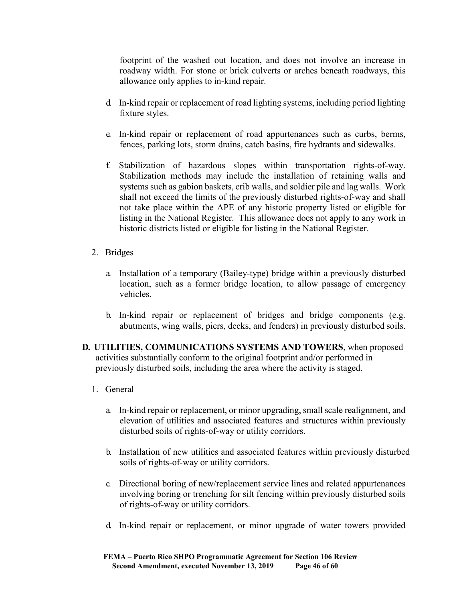footprint of the washed out location, and does not involve an increase in roadway width. For stone or brick culverts or arches beneath roadways, this allowance only applies to in-kind repair.

- d. In-kind repair or replacement of road lighting systems, including period lighting fixture styles.
- e. In-kind repair or replacement of road appurtenances such as curbs, berms, fences, parking lots, storm drains, catch basins, fire hydrants and sidewalks.
- f. Stabilization of hazardous slopes within transportation rights-of-way. Stabilization methods may include the installation of retaining walls and systems such as gabion baskets, crib walls, and soldier pile and lag walls. Work shall not exceed the limits of the previously disturbed rights-of-way and shall not take place within the APE of any historic property listed or eligible for listing in the National Register. This allowance does not apply to any work in historic districts listed or eligible for listing in the National Register.
- 2. Bridges
	- a. Installation of a temporary (Bailey-type) bridge within a previously disturbed location, such as a former bridge location, to allow passage of emergency vehicles.
	- b. In-kind repair or replacement of bridges and bridge components (e.g. abutments, wing walls, piers, decks, and fenders) in previously disturbed soils.
- **D. UTILITIES, COMMUNICATIONS SYSTEMS AND TOWERS**, when proposed activities substantially conform to the original footprint and/or performed in previously disturbed soils, including the area where the activity is staged.
	- 1. General
		- a. In-kind repair or replacement, or minor upgrading, small scale realignment, and elevation of utilities and associated features and structures within previously disturbed soils of rights-of-way or utility corridors.
		- b. Installation of new utilities and associated features within previously disturbed soils of rights-of-way or utility corridors.
		- c. Directional boring of new/replacement service lines and related appurtenances involving boring or trenching for silt fencing within previously disturbed soils of rights-of-way or utility corridors.
		- d. In-kind repair or replacement, or minor upgrade of water towers provided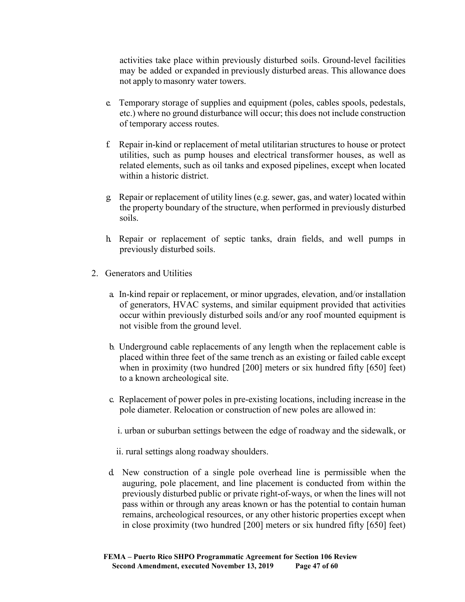activities take place within previously disturbed soils. Ground-level facilities may be added or expanded in previously disturbed areas. This allowance does not apply to masonry water towers.

- e. Temporary storage of supplies and equipment (poles, cables spools, pedestals, etc.) where no ground disturbance will occur; this does not include construction of temporary access routes.
- f. Repair in-kind or replacement of metal utilitarian structures to house or protect utilities, such as pump houses and electrical transformer houses, as well as related elements, such as oil tanks and exposed pipelines, except when located within a historic district.
- g. Repair or replacement of utility lines (e.g. sewer, gas, and water) located within the property boundary of the structure, when performed in previously disturbed soils.
- h. Repair or replacement of septic tanks, drain fields, and well pumps in previously disturbed soils.
- 2. Generators and Utilities
	- a. In-kind repair or replacement, or minor upgrades, elevation, and/or installation of generators, HVAC systems, and similar equipment provided that activities occur within previously disturbed soils and/or any roof mounted equipment is not visible from the ground level.
	- b. Underground cable replacements of any length when the replacement cable is placed within three feet of the same trench as an existing or failed cable except when in proximity (two hundred [200] meters or six hundred fifty [650] feet) to a known archeological site.
	- c. Replacement of power poles in pre-existing locations, including increase in the pole diameter. Relocation or construction of new poles are allowed in:

i. urban or suburban settings between the edge of roadway and the sidewalk, or

ii. rural settings along roadway shoulders.

d. New construction of a single pole overhead line is permissible when the auguring, pole placement, and line placement is conducted from within the previously disturbed public or private right-of-ways, or when the lines will not pass within or through any areas known or has the potential to contain human remains, archeological resources, or any other historic properties except when in close proximity (two hundred [200] meters or six hundred fifty [650] feet)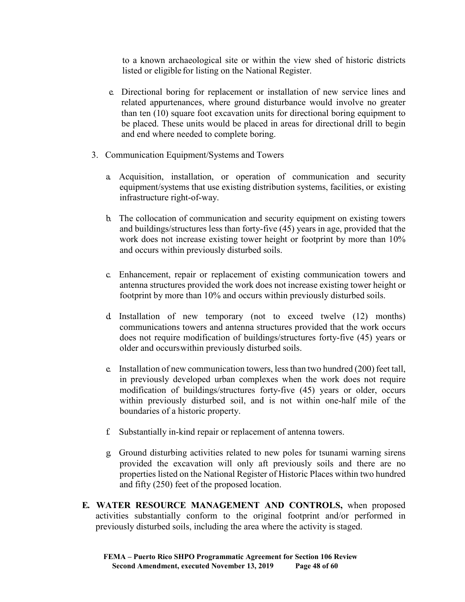to a known archaeological site or within the view shed of historic districts listed or eligible for listing on the National Register.

- e. Directional boring for replacement or installation of new service lines and related appurtenances, where ground disturbance would involve no greater than ten (10) square foot excavation units for directional boring equipment to be placed. These units would be placed in areas for directional drill to begin and end where needed to complete boring.
- 3. Communication Equipment/Systems and Towers
	- a. Acquisition, installation, or operation of communication and security equipment/systems that use existing distribution systems, facilities, or existing infrastructure right-of-way.
	- b. The collocation of communication and security equipment on existing towers and buildings/structures less than forty-five (45) years in age, provided that the work does not increase existing tower height or footprint by more than 10% and occurs within previously disturbed soils.
	- c. Enhancement, repair or replacement of existing communication towers and antenna structures provided the work does not increase existing tower height or footprint by more than 10% and occurs within previously disturbed soils.
	- d. Installation of new temporary (not to exceed twelve (12) months) communications towers and antenna structures provided that the work occurs does not require modification of buildings/structures forty-five (45) years or older and occurswithin previously disturbed soils.
	- e. Installation of new communication towers, less than two hundred (200) feet tall, in previously developed urban complexes when the work does not require modification of buildings/structures forty-five (45) years or older, occurs within previously disturbed soil, and is not within one-half mile of the boundaries of a historic property.
	- f. Substantially in-kind repair or replacement of antenna towers.
	- g. Ground disturbing activities related to new poles for tsunami warning sirens provided the excavation will only aft previously soils and there are no properties listed on the National Register of Historic Places within two hundred and fifty (250) feet of the proposed location.
- **E. WATER RESOURCE MANAGEMENT AND CONTROLS,** when proposed activities substantially conform to the original footprint and/or performed in previously disturbed soils, including the area where the activity is staged.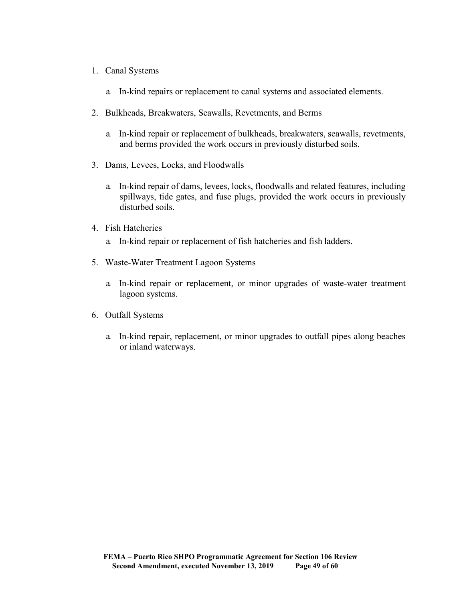- 1. Canal Systems
	- a. In-kind repairs or replacement to canal systems and associated elements.
- 2. Bulkheads, Breakwaters, Seawalls, Revetments, and Berms
	- a. In-kind repair or replacement of bulkheads, breakwaters, seawalls, revetments, and berms provided the work occurs in previously disturbed soils.
- 3. Dams, Levees, Locks, and Floodwalls
	- a. In-kind repair of dams, levees, locks, floodwalls and related features, including spillways, tide gates, and fuse plugs, provided the work occurs in previously disturbed soils.
- 4. Fish Hatcheries
	- a. In-kind repair or replacement of fish hatcheries and fish ladders.
- 5. Waste-Water Treatment Lagoon Systems
	- a. In-kind repair or replacement, or minor upgrades of waste-water treatment lagoon systems.
- 6. Outfall Systems
	- a. In-kind repair, replacement, or minor upgrades to outfall pipes along beaches or inland waterways.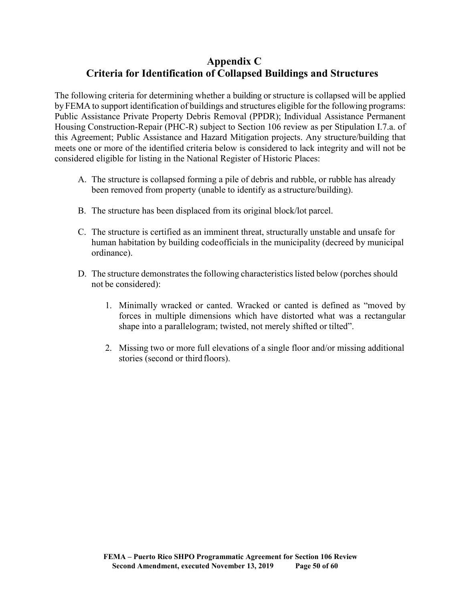# **Appendix C Criteria for Identification of Collapsed Buildings and Structures**

The following criteria for determining whether a building or structure is collapsed will be applied by FEMA to support identification of buildings and structures eligible for the following programs: Public Assistance Private Property Debris Removal (PPDR); Individual Assistance Permanent Housing Construction-Repair (PHC-R) subject to Section 106 review as per Stipulation I.7.a. of this Agreement; Public Assistance and Hazard Mitigation projects. Any structure/building that meets one or more of the identified criteria below is considered to lack integrity and will not be considered eligible for listing in the National Register of Historic Places:

- A. The structure is collapsed forming a pile of debris and rubble, or rubble has already been removed from property (unable to identify as a structure/building).
- B. The structure has been displaced from its original block/lot parcel.
- C. The structure is certified as an imminent threat, structurally unstable and unsafe for human habitation by building codeofficials in the municipality (decreed by municipal ordinance).
- D. The structure demonstrates the following characteristics listed below (porches should not be considered):
	- 1. Minimally wracked or canted. Wracked or canted is defined as "moved by forces in multiple dimensions which have distorted what was a rectangular shape into a parallelogram; twisted, not merely shifted or tilted".
	- 2. Missing two or more full elevations of a single floor and/or missing additional stories (second or third floors).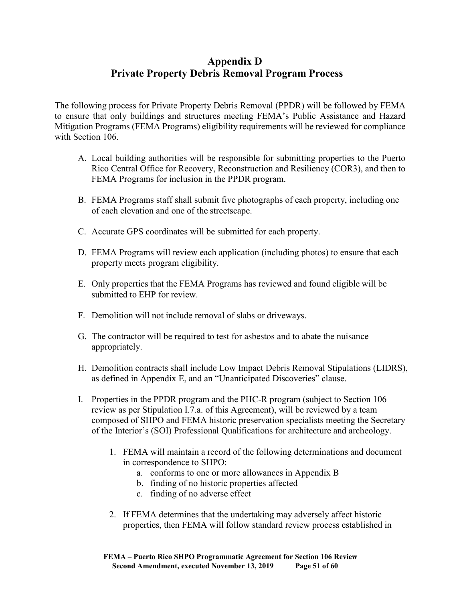# **Appendix D Private Property Debris Removal Program Process**

The following process for Private Property Debris Removal (PPDR) will be followed by FEMA to ensure that only buildings and structures meeting FEMA's Public Assistance and Hazard Mitigation Programs (FEMA Programs) eligibility requirements will be reviewed for compliance with Section 106.

- A. Local building authorities will be responsible for submitting properties to the Puerto Rico Central Office for Recovery, Reconstruction and Resiliency (COR3), and then to FEMA Programs for inclusion in the PPDR program.
- B. FEMA Programs staff shall submit five photographs of each property, including one of each elevation and one of the streetscape.
- C. Accurate GPS coordinates will be submitted for each property.
- D. FEMA Programs will review each application (including photos) to ensure that each property meets program eligibility.
- E. Only properties that the FEMA Programs has reviewed and found eligible will be submitted to EHP for review.
- F. Demolition will not include removal of slabs or driveways.
- G. The contractor will be required to test for asbestos and to abate the nuisance appropriately.
- H. Demolition contracts shall include Low Impact Debris Removal Stipulations (LIDRS), as defined in Appendix E, and an "Unanticipated Discoveries" clause.
- I. Properties in the PPDR program and the PHC-R program (subject to Section 106 review as per Stipulation I.7.a. of this Agreement), will be reviewed by a team composed of SHPO and FEMA historic preservation specialists meeting the Secretary of the Interior's (SOI) Professional Qualifications for architecture and archeology.
	- 1. FEMA will maintain a record of the following determinations and document in correspondence to SHPO:
		- a. conforms to one or more allowances in Appendix B
		- b. finding of no historic properties affected
		- c. finding of no adverse effect
	- 2. If FEMA determines that the undertaking may adversely affect historic properties, then FEMA will follow standard review process established in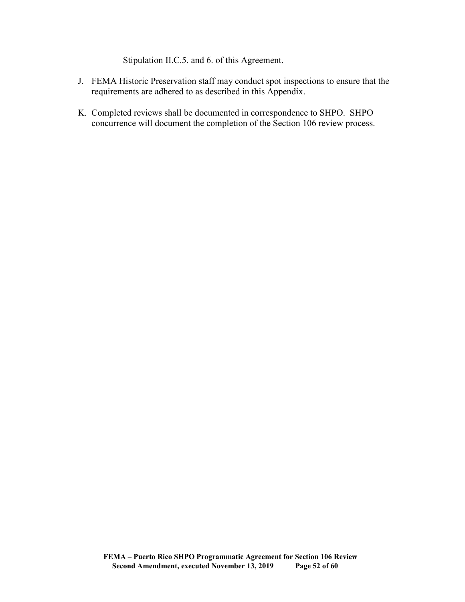Stipulation II.C.5. and 6. of this Agreement.

- J. FEMA Historic Preservation staff may conduct spot inspections to ensure that the requirements are adhered to as described in this Appendix.
- K. Completed reviews shall be documented in correspondence to SHPO. SHPO concurrence will document the completion of the Section 106 review process.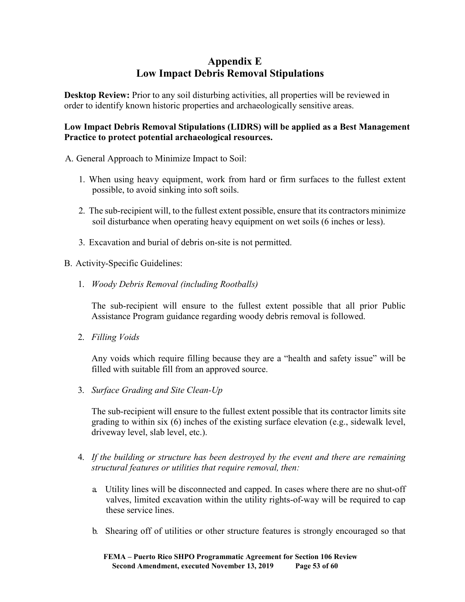# **Appendix E Low Impact Debris Removal Stipulations**

**Desktop Review:** Prior to any soil disturbing activities, all properties will be reviewed in order to identify known historic properties and archaeologically sensitive areas.

# **Low Impact Debris Removal Stipulations (LIDRS) will be applied as a Best Management Practice to protect potential archaeological resources.**

- A. General Approach to Minimize Impact to Soil:
	- 1. When using heavy equipment, work from hard or firm surfaces to the fullest extent possible, to avoid sinking into soft soils.
	- 2. The sub-recipient will, to the fullest extent possible, ensure that its contractors minimize soil disturbance when operating heavy equipment on wet soils (6 inches or less).
	- 3. Excavation and burial of debris on-site is not permitted.
- B. Activity-Specific Guidelines:
	- 1. *Woody Debris Removal (including Rootballs)*

The sub-recipient will ensure to the fullest extent possible that all prior Public Assistance Program guidance regarding woody debris removal is followed.

2. *Filling Voids*

Any voids which require filling because they are a "health and safety issue" will be filled with suitable fill from an approved source.

3. *Surface Grading and Site Clean-Up*

The sub-recipient will ensure to the fullest extent possible that its contractor limits site grading to within six (6) inches of the existing surface elevation (e.g., sidewalk level, driveway level, slab level, etc.).

- 4. *If the building or structure has been destroyed by the event and there are remaining structural features or utilities that require removal, then:*
	- a. Utility lines will be disconnected and capped. In cases where there are no shut-off valves, limited excavation within the utility rights-of-way will be required to cap these service lines.
	- b. Shearing off of utilities or other structure features is strongly encouraged so that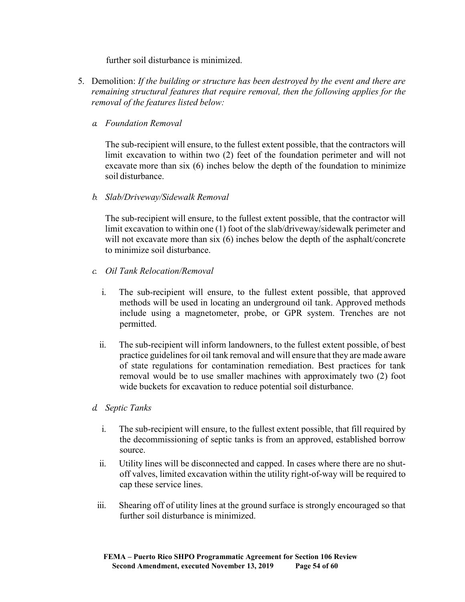further soil disturbance is minimized.

- 5. Demolition: *If the building or structure has been destroyed by the event and there are remaining structural features that require removal, then the following applies for the removal of the features listed below:*
	- *a. Foundation Removal*

The sub-recipient will ensure, to the fullest extent possible, that the contractors will limit excavation to within two (2) feet of the foundation perimeter and will not excavate more than six (6) inches below the depth of the foundation to minimize soil disturbance.

*b. Slab/Driveway/Sidewalk Removal*

The sub-recipient will ensure, to the fullest extent possible, that the contractor will limit excavation to within one (1) foot of the slab/driveway/sidewalk perimeter and will not excavate more than six (6) inches below the depth of the asphalt/concrete to minimize soil disturbance.

- *c. Oil Tank Relocation/Removal*
	- i. The sub-recipient will ensure, to the fullest extent possible, that approved methods will be used in locating an underground oil tank. Approved methods include using a magnetometer, probe, or GPR system. Trenches are not permitted.
	- ii. The sub-recipient will inform landowners, to the fullest extent possible, of best practice guidelines for oil tank removal and will ensure that they are made aware of state regulations for contamination remediation. Best practices for tank removal would be to use smaller machines with approximately two (2) foot wide buckets for excavation to reduce potential soil disturbance.
- *d. Septic Tanks*
	- i. The sub-recipient will ensure, to the fullest extent possible, that fill required by the decommissioning of septic tanks is from an approved, established borrow source.
	- ii. Utility lines will be disconnected and capped. In cases where there are no shutoff valves, limited excavation within the utility right-of-way will be required to cap these service lines.
	- iii. Shearing off of utility lines at the ground surface is strongly encouraged so that further soil disturbance is minimized.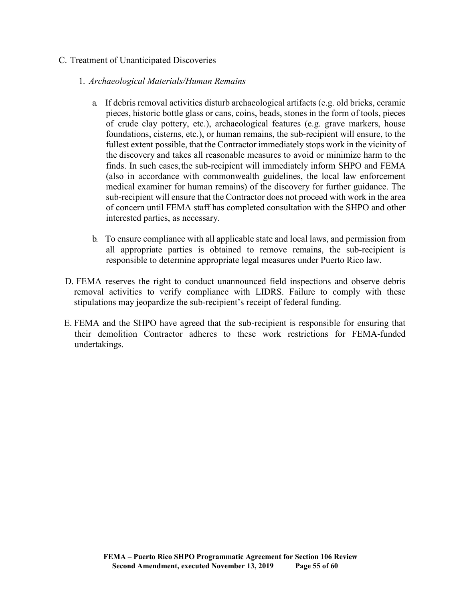## C. Treatment of Unanticipated Discoveries

## 1. *Archaeological Materials/Human Remains*

- a. If debris removal activities disturb archaeological artifacts (e.g. old bricks, ceramic pieces, historic bottle glass or cans, coins, beads, stones in the form of tools, pieces of crude clay pottery, etc.), archaeological features (e.g. grave markers, house foundations, cisterns, etc.), or human remains, the sub-recipient will ensure, to the fullest extent possible, that the Contractor immediately stops work in the vicinity of the discovery and takes all reasonable measures to avoid or minimize harm to the finds. In such cases,the sub-recipient will immediately inform SHPO and FEMA (also in accordance with commonwealth guidelines, the local law enforcement medical examiner for human remains) of the discovery for further guidance. The sub-recipient will ensure that the Contractor does not proceed with work in the area of concern until FEMA staff has completed consultation with the SHPO and other interested parties, as necessary.
- b. To ensure compliance with all applicable state and local laws, and permission from all appropriate parties is obtained to remove remains, the sub-recipient is responsible to determine appropriate legal measures under Puerto Rico law.
- D. FEMA reserves the right to conduct unannounced field inspections and observe debris removal activities to verify compliance with LIDRS. Failure to comply with these stipulations may jeopardize the sub-recipient's receipt of federal funding.
- E. FEMA and the SHPO have agreed that the sub-recipient is responsible for ensuring that their demolition Contractor adheres to these work restrictions for FEMA-funded undertakings.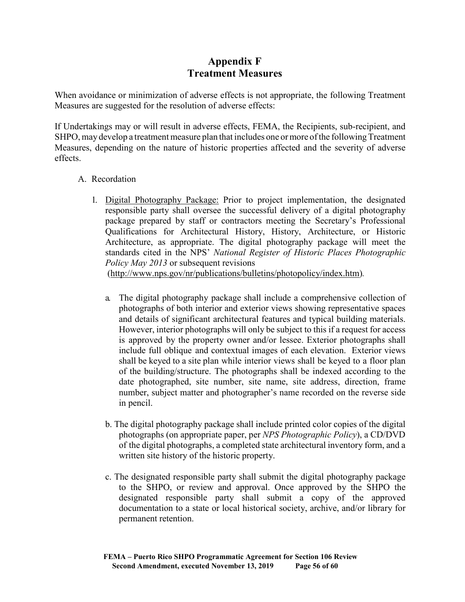# **Appendix F Treatment Measures**

When avoidance or minimization of adverse effects is not appropriate, the following Treatment Measures are suggested for the resolution of adverse effects:

If Undertakings may or will result in adverse effects, FEMA, the Recipients, sub-recipient, and SHPO, may develop a treatment measure plan that includes one or more of the following Treatment Measures, depending on the nature of historic properties affected and the severity of adverse effects.

#### A. Recordation

1. Digital Photography Package: Prior to project implementation, the designated responsible party shall oversee the successful delivery of a digital photography package prepared by staff or contractors meeting the Secretary's Professional Qualifications for Architectural History, History, Architecture, or Historic Architecture, as appropriate. The digital photography package will meet the standards cited in the NPS' *National Register of Historic Places Photographic Policy May 2013* or subsequent revisions

[\(http://www.nps.gov/nr/publications/bulletins/photopolicy/index.htm\)](http://www.nps.gov/nr/publications/bulletins/photopolicy/index.htm))*.*

- a. The digital photography package shall include a comprehensive collection of photographs of both interior and exterior views showing representative spaces and details of significant architectural features and typical building materials. However, interior photographs will only be subject to this if a request for access is approved by the property owner and/or lessee. Exterior photographs shall include full oblique and contextual images of each elevation. Exterior views shall be keyed to a site plan while interior views shall be keyed to a floor plan of the building/structure. The photographs shall be indexed according to the date photographed, site number, site name, site address, direction, frame number, subject matter and photographer's name recorded on the reverse side in pencil.
- b. The digital photography package shall include printed color copies of the digital photographs (on appropriate paper, per *NPS Photographic Policy*), a CD/DVD of the digital photographs, a completed state architectural inventory form, and a written site history of the historic property.
- c. The designated responsible party shall submit the digital photography package to the SHPO, or review and approval. Once approved by the SHPO the designated responsible party shall submit a copy of the approved documentation to a state or local historical society, archive, and/or library for permanent retention.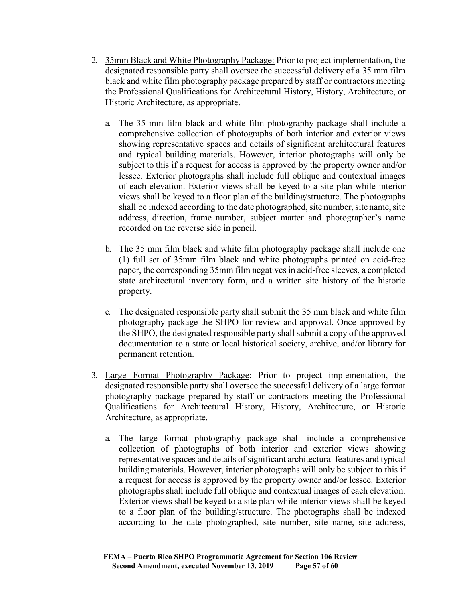- 2. 35mm Black and White Photography Package: Prior to project implementation, the designated responsible party shall oversee the successful delivery of a 35 mm film black and white film photography package prepared by staff or contractors meeting the Professional Qualifications for Architectural History, History, Architecture, or Historic Architecture, as appropriate.
	- a. The 35 mm film black and white film photography package shall include a comprehensive collection of photographs of both interior and exterior views showing representative spaces and details of significant architectural features and typical building materials. However, interior photographs will only be subject to this if a request for access is approved by the property owner and/or lessee. Exterior photographs shall include full oblique and contextual images of each elevation. Exterior views shall be keyed to a site plan while interior views shall be keyed to a floor plan of the building/structure. The photographs shall be indexed according to the date photographed, site number, site name, site address, direction, frame number, subject matter and photographer's name recorded on the reverse side in pencil.
	- b. The 35 mm film black and white film photography package shall include one (1) full set of 35mm film black and white photographs printed on acid-free paper, the corresponding 35mm film negatives in acid-free sleeves, a completed state architectural inventory form, and a written site history of the historic property.
	- c. The designated responsible party shall submit the 35 mm black and white film photography package the SHPO for review and approval. Once approved by the SHPO, the designated responsible party shall submit a copy of the approved documentation to a state or local historical society, archive, and/or library for permanent retention.
- 3. Large Format Photography Package: Prior to project implementation, the designated responsible party shall oversee the successful delivery of a large format photography package prepared by staff or contractors meeting the Professional Qualifications for Architectural History, History, Architecture, or Historic Architecture, as appropriate.
	- a. The large format photography package shall include a comprehensive collection of photographs of both interior and exterior views showing representative spaces and details of significant architectural features and typical buildingmaterials. However, interior photographs will only be subject to this if a request for access is approved by the property owner and/or lessee. Exterior photographs shall include full oblique and contextual images of each elevation. Exterior views shall be keyed to a site plan while interior views shall be keyed to a floor plan of the building/structure. The photographs shall be indexed according to the date photographed, site number, site name, site address,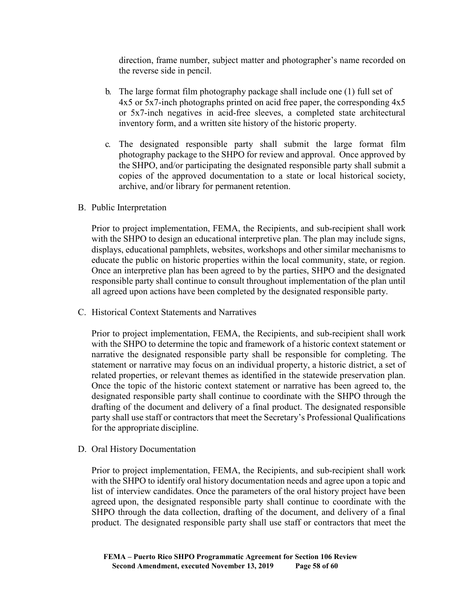direction, frame number, subject matter and photographer's name recorded on the reverse side in pencil.

- b. The large format film photography package shall include one (1) full set of 4x5 or 5x7-inch photographs printed on acid free paper, the corresponding 4x5 or 5x7-inch negatives in acid-free sleeves, a completed state architectural inventory form, and a written site history of the historic property.
- c. The designated responsible party shall submit the large format film photography package to the SHPO for review and approval. Once approved by the SHPO, and/or participating the designated responsible party shall submit a copies of the approved documentation to a state or local historical society, archive, and/or library for permanent retention.
- B. Public Interpretation

Prior to project implementation, FEMA, the Recipients, and sub-recipient shall work with the SHPO to design an educational interpretive plan. The plan may include signs, displays, educational pamphlets, websites, workshops and other similar mechanisms to educate the public on historic properties within the local community, state, or region. Once an interpretive plan has been agreed to by the parties, SHPO and the designated responsible party shall continue to consult throughout implementation of the plan until all agreed upon actions have been completed by the designated responsible party.

C. Historical Context Statements and Narratives

Prior to project implementation, FEMA, the Recipients, and sub-recipient shall work with the SHPO to determine the topic and framework of a historic context statement or narrative the designated responsible party shall be responsible for completing. The statement or narrative may focus on an individual property, a historic district, a set of related properties, or relevant themes as identified in the statewide preservation plan. Once the topic of the historic context statement or narrative has been agreed to, the designated responsible party shall continue to coordinate with the SHPO through the drafting of the document and delivery of a final product. The designated responsible party shall use staff or contractors that meet the Secretary's Professional Qualifications for the appropriate discipline.

D. Oral History Documentation

Prior to project implementation, FEMA, the Recipients, and sub-recipient shall work with the SHPO to identify oral history documentation needs and agree upon a topic and list of interview candidates. Once the parameters of the oral history project have been agreed upon, the designated responsible party shall continue to coordinate with the SHPO through the data collection, drafting of the document, and delivery of a final product. The designated responsible party shall use staff or contractors that meet the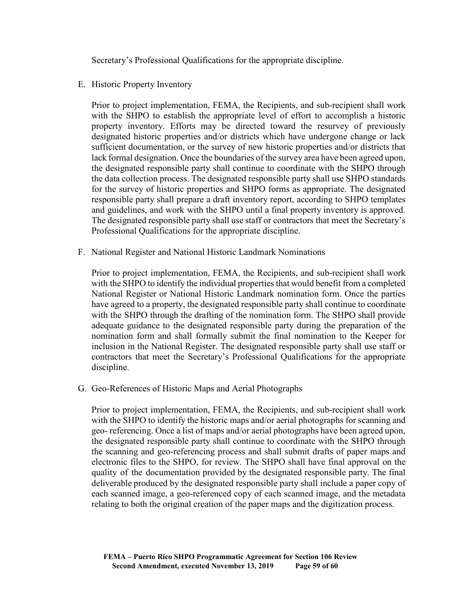Secretary's Professional Qualifications for the appropriate discipline.

E. Historic Property Inventory

Prior to project implementation, FEMA, the Recipients, and sub-recipient shall work with the SHPO to establish the appropriate level of effort to accomplish a historic property inventory. Efforts may be directed toward the resurvey of previously designated historic properties and/or districts which have undergone change or lack sufficient documentation, or the survey of new historic properties and/or districts that lack formal designation. Once the boundaries of the survey area have been agreed upon, the designated responsible party shall continue to coordinate with the SHPO through the data collection process. The designated responsible party shall use SHPO standards for the survey of historic properties and SHPO forms as appropriate. The designated responsible party shall prepare a draft inventory report, according to SHPO templates and guidelines, and work with the SHPO until a final property inventory is approved. The designated responsible party shall use staff or contractors that meet the Secretary's Professional Qualifications for the appropriate discipline.

F. National Register and National Historic Landmark Nominations

Prior to project implementation, FEMA, the Recipients, and sub-recipient shall work with the SHPO to identify the individual properties that would benefit from a completed National Register or National Historic Landmark nomination form. Once the parties have agreed to a property, the designated responsible party shall continue to coordinate with the SHPO through the drafting of the nomination form. The SHPO shall provide adequate guidance to the designated responsible party during the preparation of the nomination form and shall formally submit the final nomination to the Keeper for inclusion in the National Register. The designated responsible party shall use staff or contractors that meet the Secretary's Professional Qualifications for the appropriate discipline.

G. Geo-References of Historic Maps and Aerial Photographs

Prior to project implementation, FEMA, the Recipients, and sub-recipient shall work with the SHPO to identify the historic maps and/or aerial photographs for scanning and geo- referencing. Once a list of maps and/or aerial photographs have been agreed upon, the designated responsible party shall continue to coordinate with the SHPO through the scanning and geo-referencing process and shall submit drafts of paper maps and electronic files to the SHPO, for review. The SHPO shall have final approval on the quality of the documentation provided by the designated responsible party. The final deliverable produced by the designated responsible party shall include a paper copy of each scanned image, a geo-referenced copy of each scanned image, and the metadata relating to both the original creation of the paper maps and the digitization process.